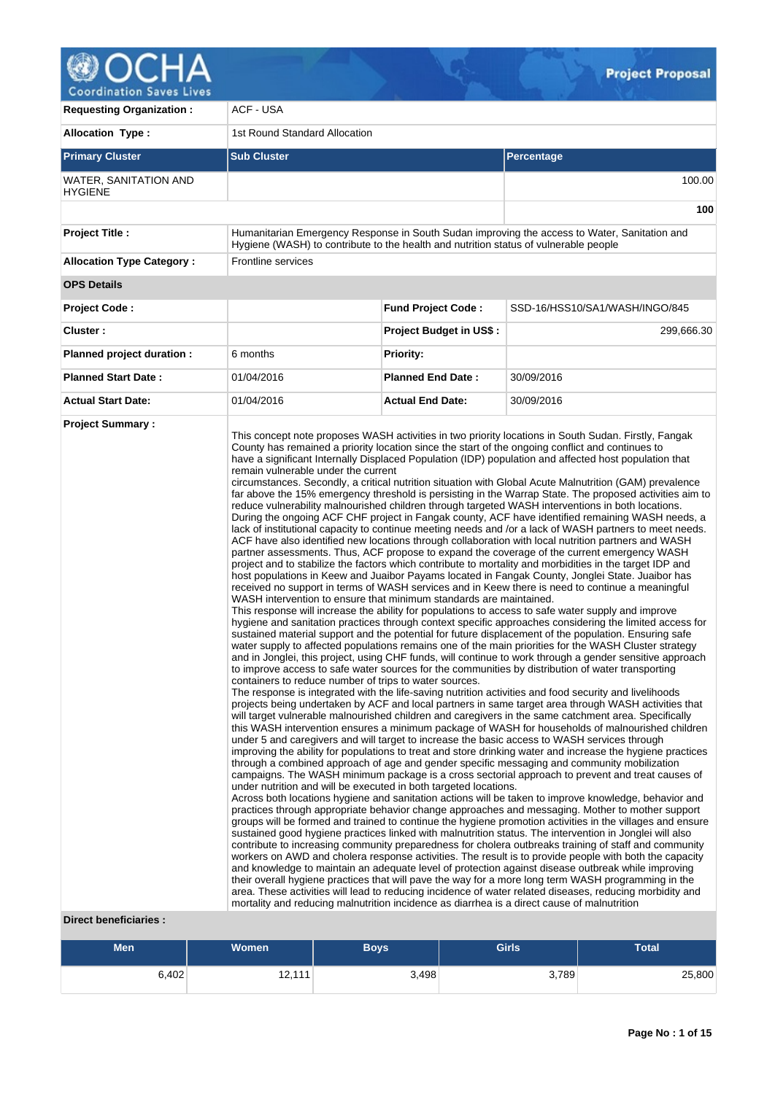

**Coordination Saves Lives** 

| <b>Requesting Organization:</b>         | ACF - USA                                                                                                                                                                                                                                                                                                                              |                                |                                                                                                                                                                                                                                                                                                                                                                                                                                                                                                                                                                                                                                                                                                                                                                                                                                                                                                                                                                                                                                                                                                                                                                                                                                                                                                                                                                                                                                                                                                                                                                                                                                                                                                                                                                                                                                                                                                                                                                                                                                                                                                                                                                                                                                                                                                                                                                                                                                                                                                                                                                                                                                                                                                                                                                                                                                                                                                                                                                                                                                                                                                                                                                                                                                                                                                                                                                                                                                                                                                                                                                                                                                                                                                                                                                                                                                                                           |  |  |  |  |
|-----------------------------------------|----------------------------------------------------------------------------------------------------------------------------------------------------------------------------------------------------------------------------------------------------------------------------------------------------------------------------------------|--------------------------------|---------------------------------------------------------------------------------------------------------------------------------------------------------------------------------------------------------------------------------------------------------------------------------------------------------------------------------------------------------------------------------------------------------------------------------------------------------------------------------------------------------------------------------------------------------------------------------------------------------------------------------------------------------------------------------------------------------------------------------------------------------------------------------------------------------------------------------------------------------------------------------------------------------------------------------------------------------------------------------------------------------------------------------------------------------------------------------------------------------------------------------------------------------------------------------------------------------------------------------------------------------------------------------------------------------------------------------------------------------------------------------------------------------------------------------------------------------------------------------------------------------------------------------------------------------------------------------------------------------------------------------------------------------------------------------------------------------------------------------------------------------------------------------------------------------------------------------------------------------------------------------------------------------------------------------------------------------------------------------------------------------------------------------------------------------------------------------------------------------------------------------------------------------------------------------------------------------------------------------------------------------------------------------------------------------------------------------------------------------------------------------------------------------------------------------------------------------------------------------------------------------------------------------------------------------------------------------------------------------------------------------------------------------------------------------------------------------------------------------------------------------------------------------------------------------------------------------------------------------------------------------------------------------------------------------------------------------------------------------------------------------------------------------------------------------------------------------------------------------------------------------------------------------------------------------------------------------------------------------------------------------------------------------------------------------------------------------------------------------------------------------------------------------------------------------------------------------------------------------------------------------------------------------------------------------------------------------------------------------------------------------------------------------------------------------------------------------------------------------------------------------------------------------------------------------------------------------------------------------------------------|--|--|--|--|
| <b>Allocation Type:</b>                 | 1st Round Standard Allocation                                                                                                                                                                                                                                                                                                          |                                |                                                                                                                                                                                                                                                                                                                                                                                                                                                                                                                                                                                                                                                                                                                                                                                                                                                                                                                                                                                                                                                                                                                                                                                                                                                                                                                                                                                                                                                                                                                                                                                                                                                                                                                                                                                                                                                                                                                                                                                                                                                                                                                                                                                                                                                                                                                                                                                                                                                                                                                                                                                                                                                                                                                                                                                                                                                                                                                                                                                                                                                                                                                                                                                                                                                                                                                                                                                                                                                                                                                                                                                                                                                                                                                                                                                                                                                                           |  |  |  |  |
| <b>Primary Cluster</b>                  | <b>Sub Cluster</b>                                                                                                                                                                                                                                                                                                                     |                                | Percentage                                                                                                                                                                                                                                                                                                                                                                                                                                                                                                                                                                                                                                                                                                                                                                                                                                                                                                                                                                                                                                                                                                                                                                                                                                                                                                                                                                                                                                                                                                                                                                                                                                                                                                                                                                                                                                                                                                                                                                                                                                                                                                                                                                                                                                                                                                                                                                                                                                                                                                                                                                                                                                                                                                                                                                                                                                                                                                                                                                                                                                                                                                                                                                                                                                                                                                                                                                                                                                                                                                                                                                                                                                                                                                                                                                                                                                                                |  |  |  |  |
| WATER, SANITATION AND<br><b>HYGIENE</b> |                                                                                                                                                                                                                                                                                                                                        |                                | 100.00                                                                                                                                                                                                                                                                                                                                                                                                                                                                                                                                                                                                                                                                                                                                                                                                                                                                                                                                                                                                                                                                                                                                                                                                                                                                                                                                                                                                                                                                                                                                                                                                                                                                                                                                                                                                                                                                                                                                                                                                                                                                                                                                                                                                                                                                                                                                                                                                                                                                                                                                                                                                                                                                                                                                                                                                                                                                                                                                                                                                                                                                                                                                                                                                                                                                                                                                                                                                                                                                                                                                                                                                                                                                                                                                                                                                                                                                    |  |  |  |  |
|                                         |                                                                                                                                                                                                                                                                                                                                        |                                | 100                                                                                                                                                                                                                                                                                                                                                                                                                                                                                                                                                                                                                                                                                                                                                                                                                                                                                                                                                                                                                                                                                                                                                                                                                                                                                                                                                                                                                                                                                                                                                                                                                                                                                                                                                                                                                                                                                                                                                                                                                                                                                                                                                                                                                                                                                                                                                                                                                                                                                                                                                                                                                                                                                                                                                                                                                                                                                                                                                                                                                                                                                                                                                                                                                                                                                                                                                                                                                                                                                                                                                                                                                                                                                                                                                                                                                                                                       |  |  |  |  |
| <b>Project Title:</b>                   | Hygiene (WASH) to contribute to the health and nutrition status of vulnerable people                                                                                                                                                                                                                                                   |                                | Humanitarian Emergency Response in South Sudan improving the access to Water, Sanitation and                                                                                                                                                                                                                                                                                                                                                                                                                                                                                                                                                                                                                                                                                                                                                                                                                                                                                                                                                                                                                                                                                                                                                                                                                                                                                                                                                                                                                                                                                                                                                                                                                                                                                                                                                                                                                                                                                                                                                                                                                                                                                                                                                                                                                                                                                                                                                                                                                                                                                                                                                                                                                                                                                                                                                                                                                                                                                                                                                                                                                                                                                                                                                                                                                                                                                                                                                                                                                                                                                                                                                                                                                                                                                                                                                                              |  |  |  |  |
| <b>Allocation Type Category:</b>        | <b>Frontline services</b>                                                                                                                                                                                                                                                                                                              |                                |                                                                                                                                                                                                                                                                                                                                                                                                                                                                                                                                                                                                                                                                                                                                                                                                                                                                                                                                                                                                                                                                                                                                                                                                                                                                                                                                                                                                                                                                                                                                                                                                                                                                                                                                                                                                                                                                                                                                                                                                                                                                                                                                                                                                                                                                                                                                                                                                                                                                                                                                                                                                                                                                                                                                                                                                                                                                                                                                                                                                                                                                                                                                                                                                                                                                                                                                                                                                                                                                                                                                                                                                                                                                                                                                                                                                                                                                           |  |  |  |  |
| <b>OPS Details</b>                      |                                                                                                                                                                                                                                                                                                                                        |                                |                                                                                                                                                                                                                                                                                                                                                                                                                                                                                                                                                                                                                                                                                                                                                                                                                                                                                                                                                                                                                                                                                                                                                                                                                                                                                                                                                                                                                                                                                                                                                                                                                                                                                                                                                                                                                                                                                                                                                                                                                                                                                                                                                                                                                                                                                                                                                                                                                                                                                                                                                                                                                                                                                                                                                                                                                                                                                                                                                                                                                                                                                                                                                                                                                                                                                                                                                                                                                                                                                                                                                                                                                                                                                                                                                                                                                                                                           |  |  |  |  |
| <b>Project Code:</b>                    |                                                                                                                                                                                                                                                                                                                                        | <b>Fund Project Code:</b>      | SSD-16/HSS10/SA1/WASH/INGO/845                                                                                                                                                                                                                                                                                                                                                                                                                                                                                                                                                                                                                                                                                                                                                                                                                                                                                                                                                                                                                                                                                                                                                                                                                                                                                                                                                                                                                                                                                                                                                                                                                                                                                                                                                                                                                                                                                                                                                                                                                                                                                                                                                                                                                                                                                                                                                                                                                                                                                                                                                                                                                                                                                                                                                                                                                                                                                                                                                                                                                                                                                                                                                                                                                                                                                                                                                                                                                                                                                                                                                                                                                                                                                                                                                                                                                                            |  |  |  |  |
| Cluster:                                |                                                                                                                                                                                                                                                                                                                                        | <b>Project Budget in US\$:</b> | 299,666.30                                                                                                                                                                                                                                                                                                                                                                                                                                                                                                                                                                                                                                                                                                                                                                                                                                                                                                                                                                                                                                                                                                                                                                                                                                                                                                                                                                                                                                                                                                                                                                                                                                                                                                                                                                                                                                                                                                                                                                                                                                                                                                                                                                                                                                                                                                                                                                                                                                                                                                                                                                                                                                                                                                                                                                                                                                                                                                                                                                                                                                                                                                                                                                                                                                                                                                                                                                                                                                                                                                                                                                                                                                                                                                                                                                                                                                                                |  |  |  |  |
| Planned project duration :              | 6 months                                                                                                                                                                                                                                                                                                                               | <b>Priority:</b>               |                                                                                                                                                                                                                                                                                                                                                                                                                                                                                                                                                                                                                                                                                                                                                                                                                                                                                                                                                                                                                                                                                                                                                                                                                                                                                                                                                                                                                                                                                                                                                                                                                                                                                                                                                                                                                                                                                                                                                                                                                                                                                                                                                                                                                                                                                                                                                                                                                                                                                                                                                                                                                                                                                                                                                                                                                                                                                                                                                                                                                                                                                                                                                                                                                                                                                                                                                                                                                                                                                                                                                                                                                                                                                                                                                                                                                                                                           |  |  |  |  |
| <b>Planned Start Date:</b>              | 01/04/2016                                                                                                                                                                                                                                                                                                                             | <b>Planned End Date:</b>       | 30/09/2016                                                                                                                                                                                                                                                                                                                                                                                                                                                                                                                                                                                                                                                                                                                                                                                                                                                                                                                                                                                                                                                                                                                                                                                                                                                                                                                                                                                                                                                                                                                                                                                                                                                                                                                                                                                                                                                                                                                                                                                                                                                                                                                                                                                                                                                                                                                                                                                                                                                                                                                                                                                                                                                                                                                                                                                                                                                                                                                                                                                                                                                                                                                                                                                                                                                                                                                                                                                                                                                                                                                                                                                                                                                                                                                                                                                                                                                                |  |  |  |  |
| <b>Actual Start Date:</b>               | 01/04/2016                                                                                                                                                                                                                                                                                                                             | <b>Actual End Date:</b>        | 30/09/2016                                                                                                                                                                                                                                                                                                                                                                                                                                                                                                                                                                                                                                                                                                                                                                                                                                                                                                                                                                                                                                                                                                                                                                                                                                                                                                                                                                                                                                                                                                                                                                                                                                                                                                                                                                                                                                                                                                                                                                                                                                                                                                                                                                                                                                                                                                                                                                                                                                                                                                                                                                                                                                                                                                                                                                                                                                                                                                                                                                                                                                                                                                                                                                                                                                                                                                                                                                                                                                                                                                                                                                                                                                                                                                                                                                                                                                                                |  |  |  |  |
| Direct beneficiaries :                  | remain vulnerable under the current<br>WASH intervention to ensure that minimum standards are maintained.<br>containers to reduce number of trips to water sources.<br>under nutrition and will be executed in both targeted locations.<br>mortality and reducing malnutrition incidence as diarrhea is a direct cause of malnutrition |                                | This concept note proposes WASH activities in two priority locations in South Sudan. Firstly, Fangak<br>County has remained a priority location since the start of the ongoing conflict and continues to<br>have a significant Internally Displaced Population (IDP) population and affected host population that<br>circumstances. Secondly, a critical nutrition situation with Global Acute Malnutrition (GAM) prevalence<br>far above the 15% emergency threshold is persisting in the Warrap State. The proposed activities aim to<br>reduce vulnerability malnourished children through targeted WASH interventions in both locations.<br>During the ongoing ACF CHF project in Fangak county, ACF have identified remaining WASH needs, a<br>lack of institutional capacity to continue meeting needs and /or a lack of WASH partners to meet needs.<br>ACF have also identified new locations through collaboration with local nutrition partners and WASH<br>partner assessments. Thus, ACF propose to expand the coverage of the current emergency WASH<br>project and to stabilize the factors which contribute to mortality and morbidities in the target IDP and<br>host populations in Keew and Juaibor Payams located in Fangak County, Jonglei State. Juaibor has<br>received no support in terms of WASH services and in Keew there is need to continue a meaningful<br>This response will increase the ability for populations to access to safe water supply and improve<br>hygiene and sanitation practices through context specific approaches considering the limited access for<br>sustained material support and the potential for future displacement of the population. Ensuring safe<br>water supply to affected populations remains one of the main priorities for the WASH Cluster strategy<br>and in Jonglei, this project, using CHF funds, will continue to work through a gender sensitive approach<br>to improve access to safe water sources for the communities by distribution of water transporting<br>The response is integrated with the life-saving nutrition activities and food security and livelihoods<br>projects being undertaken by ACF and local partners in same target area through WASH activities that<br>will target vulnerable malnourished children and caregivers in the same catchment area. Specifically<br>this WASH intervention ensures a minimum package of WASH for households of malnourished children<br>under 5 and caregivers and will target to increase the basic access to WASH services through<br>improving the ability for populations to treat and store drinking water and increase the hygiene practices<br>through a combined approach of age and gender specific messaging and community mobilization<br>campaigns. The WASH minimum package is a cross sectorial approach to prevent and treat causes of<br>Across both locations hygiene and sanitation actions will be taken to improve knowledge, behavior and<br>practices through appropriate behavior change approaches and messaging. Mother to mother support<br>groups will be formed and trained to continue the hygiene promotion activities in the villages and ensure<br>sustained good hygiene practices linked with malnutrition status. The intervention in Jonglei will also<br>contribute to increasing community preparedness for cholera outbreaks training of staff and community<br>workers on AWD and cholera response activities. The result is to provide people with both the capacity<br>and knowledge to maintain an adequate level of protection against disease outbreak while improving<br>their overall hygiene practices that will pave the way for a more long term WASH programming in the<br>area. These activities will lead to reducing incidence of water related diseases, reducing morbidity and |  |  |  |  |

# **Men Women Boys Girls Total** 6,402 12,111 3,498 3,789 3,789 25,800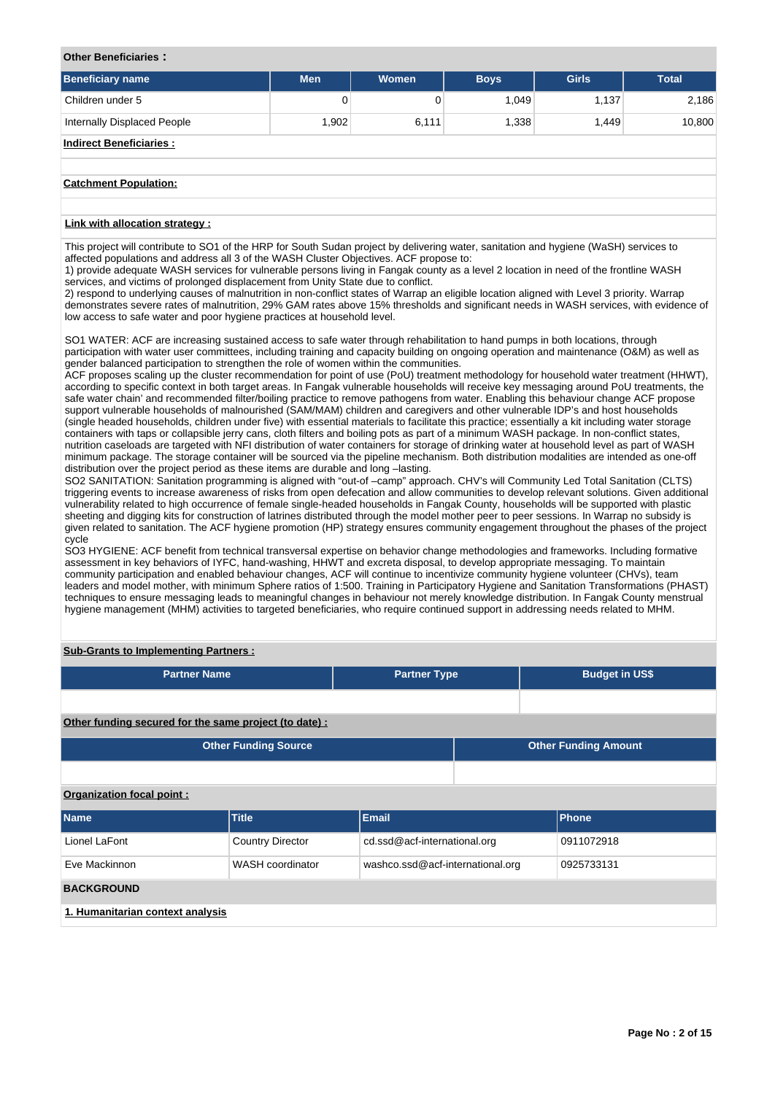#### **Other Beneficiaries :**

| Beneficiary name                                                                                                                                                                                                                                                                                                                                                        | <b>Men</b> | <b>Women</b> | <b>Boys</b> | <b>Girls</b> | <b>Total</b> |
|-------------------------------------------------------------------------------------------------------------------------------------------------------------------------------------------------------------------------------------------------------------------------------------------------------------------------------------------------------------------------|------------|--------------|-------------|--------------|--------------|
| Children under 5                                                                                                                                                                                                                                                                                                                                                        | 0          | 0            | 1.049       | 1.137        | 2.186        |
| Internally Displaced People                                                                                                                                                                                                                                                                                                                                             | 1,902      | 6,111        | 1,338       | 1,449        | 10,800       |
| <b>Indirect Beneficiaries:</b>                                                                                                                                                                                                                                                                                                                                          |            |              |             |              |              |
|                                                                                                                                                                                                                                                                                                                                                                         |            |              |             |              |              |
| <b>Catchment Population:</b>                                                                                                                                                                                                                                                                                                                                            |            |              |             |              |              |
|                                                                                                                                                                                                                                                                                                                                                                         |            |              |             |              |              |
| Link with allocation strategy :                                                                                                                                                                                                                                                                                                                                         |            |              |             |              |              |
| This project will contribute to SO1 of the HRP for South Sudan project by delivering water, sanitation and hygiene (WaSH) services to<br>affected populations and address all 3 of the WASH Cluster Objectives. ACF propose to:<br>1) provide adequate WASH services for vulnerable persons living in Fangak county as a level 2 location in need of the frontline WASH |            |              |             |              |              |

1) provide adequate WASH services for vulnerable persons living in Fangak county as a level 2 location in need of the frontline WASH services, and victims of prolonged displacement from Unity State due to conflict.

2) respond to underlying causes of malnutrition in non-conflict states of Warrap an eligible location aligned with Level 3 priority. Warrap demonstrates severe rates of malnutrition, 29% GAM rates above 15% thresholds and significant needs in WASH services, with evidence of low access to safe water and poor hygiene practices at household level.

SO1 WATER: ACF are increasing sustained access to safe water through rehabilitation to hand pumps in both locations, through participation with water user committees, including training and capacity building on ongoing operation and maintenance (O&M) as well as gender balanced participation to strengthen the role of women within the communities.

ACF proposes scaling up the cluster recommendation for point of use (PoU) treatment methodology for household water treatment (HHWT), according to specific context in both target areas. In Fangak vulnerable households will receive key messaging around PoU treatments, the safe water chain' and recommended filter/boiling practice to remove pathogens from water. Enabling this behaviour change ACF propose support vulnerable households of malnourished (SAM/MAM) children and caregivers and other vulnerable IDP's and host households (single headed households, children under five) with essential materials to facilitate this practice; essentially a kit including water storage containers with taps or collapsible jerry cans, cloth filters and boiling pots as part of a minimum WASH package. In non-conflict states, nutrition caseloads are targeted with NFI distribution of water containers for storage of drinking water at household level as part of WASH minimum package. The storage container will be sourced via the pipeline mechanism. Both distribution modalities are intended as one-off distribution over the project period as these items are durable and long –lasting.

SO2 SANITATION: Sanitation programming is aligned with "out-of -camp" approach. CHV's will Community Led Total Sanitation (CLTS) triggering events to increase awareness of risks from open defecation and allow communities to develop relevant solutions. Given additional vulnerability related to high occurrence of female single-headed households in Fangak County, households will be supported with plastic sheeting and digging kits for construction of latrines distributed through the model mother peer to peer sessions. In Warrap no subsidy is given related to sanitation. The ACF hygiene promotion (HP) strategy ensures community engagement throughout the phases of the project cycle

SO3 HYGIENE: ACF benefit from technical transversal expertise on behavior change methodologies and frameworks. Including formative assessment in key behaviors of IYFC, hand-washing, HHWT and excreta disposal, to develop appropriate messaging. To maintain community participation and enabled behaviour changes, ACF will continue to incentivize community hygiene volunteer (CHVs), team leaders and model mother, with minimum Sphere ratios of 1:500. Training in Participatory Hygiene and Sanitation Transformations (PHAST) techniques to ensure messaging leads to meaningful changes in behaviour not merely knowledge distribution. In Fangak County menstrual hygiene management (MHM) activities to targeted beneficiaries, who require continued support in addressing needs related to MHM.

# **Sub-Grants to Implementing Partners :**

| <b>Partner Name</b>                                   |                             | <b>Partner Type</b>              |  | <b>Budget in US\$</b>       |  |  |  |  |  |  |
|-------------------------------------------------------|-----------------------------|----------------------------------|--|-----------------------------|--|--|--|--|--|--|
|                                                       |                             |                                  |  |                             |  |  |  |  |  |  |
| Other funding secured for the same project (to date): |                             |                                  |  |                             |  |  |  |  |  |  |
|                                                       | <b>Other Funding Source</b> |                                  |  | <b>Other Funding Amount</b> |  |  |  |  |  |  |
|                                                       |                             |                                  |  |                             |  |  |  |  |  |  |
| Organization focal point:                             |                             |                                  |  |                             |  |  |  |  |  |  |
| <b>Name</b>                                           | <b>Title</b>                | <b>Email</b>                     |  | Phone                       |  |  |  |  |  |  |
| Lionel LaFont                                         | <b>Country Director</b>     | cd.ssd@acf-international.org     |  | 0911072918                  |  |  |  |  |  |  |
| Eve Mackinnon                                         | WASH coordinator            | washco.ssd@acf-international.org |  | 0925733131                  |  |  |  |  |  |  |
| <b>BACKGROUND</b>                                     |                             |                                  |  |                             |  |  |  |  |  |  |
| 1. Humanitarian context analysis                      |                             |                                  |  |                             |  |  |  |  |  |  |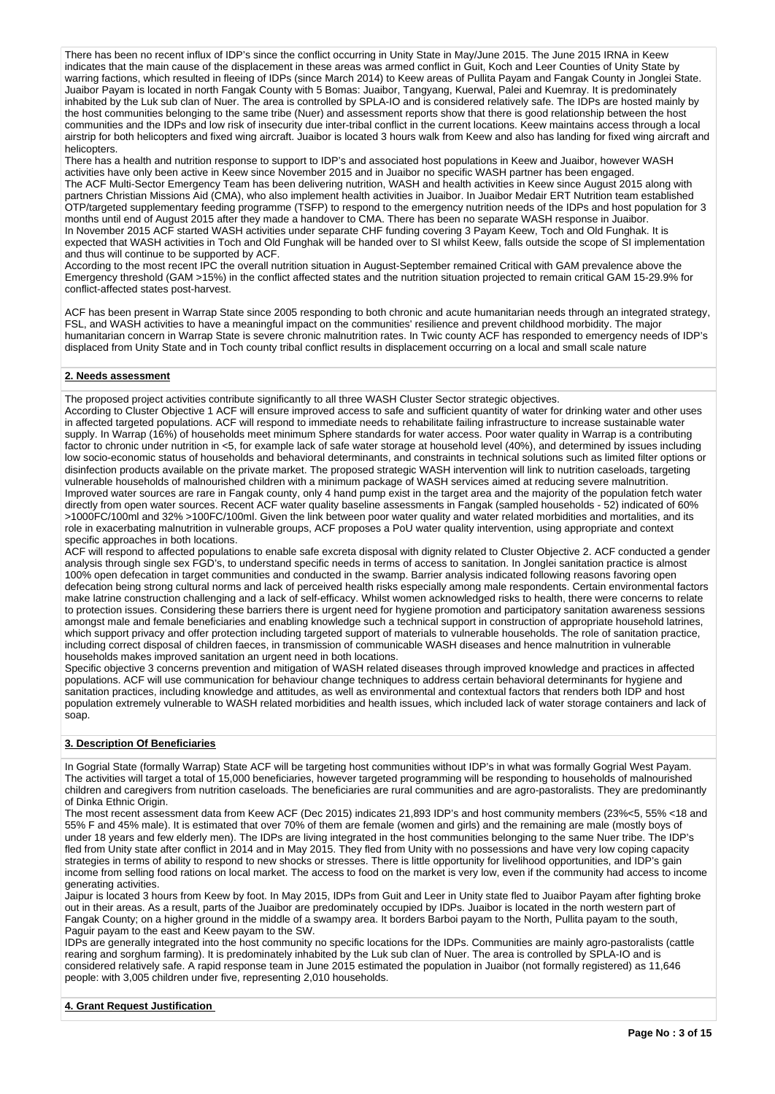There has been no recent influx of IDP's since the conflict occurring in Unity State in May/June 2015. The June 2015 IRNA in Keew indicates that the main cause of the displacement in these areas was armed conflict in Guit, Koch and Leer Counties of Unity State by warring factions, which resulted in fleeing of IDPs (since March 2014) to Keew areas of Pullita Payam and Fangak County in Jonglei State. Juaibor Payam is located in north Fangak County with 5 Bomas: Juaibor, Tangyang, Kuerwal, Palei and Kuemray. It is predominately inhabited by the Luk sub clan of Nuer. The area is controlled by SPLA-IO and is considered relatively safe. The IDPs are hosted mainly by the host communities belonging to the same tribe (Nuer) and assessment reports show that there is good relationship between the host communities and the IDPs and low risk of insecurity due inter-tribal conflict in the current locations. Keew maintains access through a local airstrip for both helicopters and fixed wing aircraft. Juaibor is located 3 hours walk from Keew and also has landing for fixed wing aircraft and helicopters.

There has a health and nutrition response to support to IDP's and associated host populations in Keew and Juaibor, however WASH activities have only been active in Keew since November 2015 and in Juaibor no specific WASH partner has been engaged. The ACF Multi-Sector Emergency Team has been delivering nutrition, WASH and health activities in Keew since August 2015 along with partners Christian Missions Aid (CMA), who also implement health activities in Juaibor. In Juaibor Medair ERT Nutrition team established OTP/targeted supplementary feeding programme (TSFP) to respond to the emergency nutrition needs of the IDPs and host population for 3 months until end of August 2015 after they made a handover to CMA. There has been no separate WASH response in Juaibor. In November 2015 ACF started WASH activities under separate CHF funding covering 3 Payam Keew, Toch and Old Funghak. It is expected that WASH activities in Toch and Old Funghak will be handed over to SI whilst Keew, falls outside the scope of SI implementation and thus will continue to be supported by ACF.

According to the most recent IPC the overall nutrition situation in August-September remained Critical with GAM prevalence above the Emergency threshold (GAM >15%) in the conflict affected states and the nutrition situation projected to remain critical GAM 15-29.9% for conflict-affected states post-harvest.

ACF has been present in Warrap State since 2005 responding to both chronic and acute humanitarian needs through an integrated strategy, FSL, and WASH activities to have a meaningful impact on the communities' resilience and prevent childhood morbidity. The major humanitarian concern in Warrap State is severe chronic malnutrition rates. In Twic county ACF has responded to emergency needs of IDP's displaced from Unity State and in Toch county tribal conflict results in displacement occurring on a local and small scale nature

# **2. Needs assessment**

The proposed project activities contribute significantly to all three WASH Cluster Sector strategic objectives.

According to Cluster Objective 1 ACF will ensure improved access to safe and sufficient quantity of water for drinking water and other uses in affected targeted populations. ACF will respond to immediate needs to rehabilitate failing infrastructure to increase sustainable water supply. In Warrap (16%) of households meet minimum Sphere standards for water access. Poor water quality in Warrap is a contributing factor to chronic under nutrition in <5, for example lack of safe water storage at household level (40%), and determined by issues including low socio-economic status of households and behavioral determinants, and constraints in technical solutions such as limited filter options or disinfection products available on the private market. The proposed strategic WASH intervention will link to nutrition caseloads, targeting vulnerable households of malnourished children with a minimum package of WASH services aimed at reducing severe malnutrition. Improved water sources are rare in Fangak county, only 4 hand pump exist in the target area and the majority of the population fetch water directly from open water sources. Recent ACF water quality baseline assessments in Fangak (sampled households - 52) indicated of 60% >1000FC/100ml and 32% >100FC/100ml. Given the link between poor water quality and water related morbidities and mortalities, and its role in exacerbating malnutrition in vulnerable groups, ACF proposes a PoU water quality intervention, using appropriate and context specific approaches in both locations.

ACF will respond to affected populations to enable safe excreta disposal with dignity related to Cluster Objective 2. ACF conducted a gender analysis through single sex FGD's, to understand specific needs in terms of access to sanitation. In Jonglei sanitation practice is almost 100% open defecation in target communities and conducted in the swamp. Barrier analysis indicated following reasons favoring open defecation being strong cultural norms and lack of perceived health risks especially among male respondents. Certain environmental factors make latrine construction challenging and a lack of self-efficacy. Whilst women acknowledged risks to health, there were concerns to relate to protection issues. Considering these barriers there is urgent need for hygiene promotion and participatory sanitation awareness sessions amongst male and female beneficiaries and enabling knowledge such a technical support in construction of appropriate household latrines, which support privacy and offer protection including targeted support of materials to vulnerable households. The role of sanitation practice, including correct disposal of children faeces, in transmission of communicable WASH diseases and hence malnutrition in vulnerable households makes improved sanitation an urgent need in both locations.

Specific objective 3 concerns prevention and mitigation of WASH related diseases through improved knowledge and practices in affected populations. ACF will use communication for behaviour change techniques to address certain behavioral determinants for hygiene and sanitation practices, including knowledge and attitudes, as well as environmental and contextual factors that renders both IDP and host population extremely vulnerable to WASH related morbidities and health issues, which included lack of water storage containers and lack of soap.

#### **3. Description Of Beneficiaries**

In Gogrial State (formally Warrap) State ACF will be targeting host communities without IDP's in what was formally Gogrial West Payam. The activities will target a total of 15,000 beneficiaries, however targeted programming will be responding to households of malnourished children and caregivers from nutrition caseloads. The beneficiaries are rural communities and are agro-pastoralists. They are predominantly of Dinka Ethnic Origin.

The most recent assessment data from Keew ACF (Dec 2015) indicates 21,893 IDP's and host community members (23%<5, 55% <18 and 55% F and 45% male). It is estimated that over 70% of them are female (women and girls) and the remaining are male (mostly boys of under 18 years and few elderly men). The IDPs are living integrated in the host communities belonging to the same Nuer tribe. The IDP's fled from Unity state after conflict in 2014 and in May 2015. They fled from Unity with no possessions and have very low coping capacity strategies in terms of ability to respond to new shocks or stresses. There is little opportunity for livelihood opportunities, and IDP's gain income from selling food rations on local market. The access to food on the market is very low, even if the community had access to income generating activities.

Jaipur is located 3 hours from Keew by foot. In May 2015, IDPs from Guit and Leer in Unity state fled to Juaibor Payam after fighting broke out in their areas. As a result, parts of the Juaibor are predominately occupied by IDPs. Juaibor is located in the north western part of Fangak County; on a higher ground in the middle of a swampy area. It borders Barboi payam to the North, Pullita payam to the south, Paguir payam to the east and Keew payam to the SW.

IDPs are generally integrated into the host community no specific locations for the IDPs. Communities are mainly agro-pastoralists (cattle rearing and sorghum farming). It is predominately inhabited by the Luk sub clan of Nuer. The area is controlled by SPLA-IO and is considered relatively safe. A rapid response team in June 2015 estimated the population in Juaibor (not formally registered) as 11,646 people: with 3,005 children under five, representing 2,010 households.

# **4. Grant Request Justification**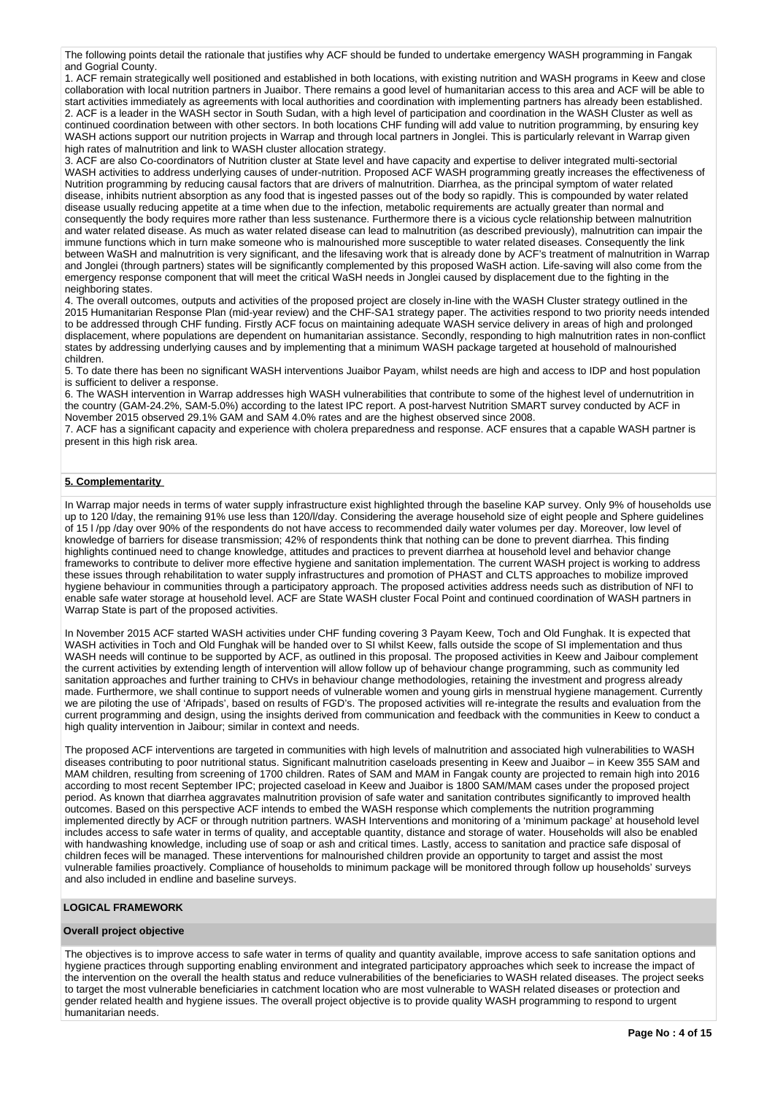The following points detail the rationale that justifies why ACF should be funded to undertake emergency WASH programming in Fangak and Gogrial County.

1. ACF remain strategically well positioned and established in both locations, with existing nutrition and WASH programs in Keew and close collaboration with local nutrition partners in Juaibor. There remains a good level of humanitarian access to this area and ACF will be able to start activities immediately as agreements with local authorities and coordination with implementing partners has already been established. 2. ACF is a leader in the WASH sector in South Sudan, with a high level of participation and coordination in the WASH Cluster as well as continued coordination between with other sectors. In both locations CHF funding will add value to nutrition programming, by ensuring key WASH actions support our nutrition projects in Warrap and through local partners in Jonglei. This is particularly relevant in Warrap given high rates of malnutrition and link to WASH cluster allocation strategy.

3. ACF are also Co-coordinators of Nutrition cluster at State level and have capacity and expertise to deliver integrated multi-sectorial WASH activities to address underlying causes of under-nutrition. Proposed ACF WASH programming greatly increases the effectiveness of Nutrition programming by reducing causal factors that are drivers of malnutrition. Diarrhea, as the principal symptom of water related disease, inhibits nutrient absorption as any food that is ingested passes out of the body so rapidly. This is compounded by water related disease usually reducing appetite at a time when due to the infection, metabolic requirements are actually greater than normal and consequently the body requires more rather than less sustenance. Furthermore there is a vicious cycle relationship between malnutrition and water related disease. As much as water related disease can lead to malnutrition (as described previously), malnutrition can impair the immune functions which in turn make someone who is malnourished more susceptible to water related diseases. Consequently the link between WaSH and malnutrition is very significant, and the lifesaving work that is already done by ACF's treatment of malnutrition in Warrap and Jonglei (through partners) states will be significantly complemented by this proposed WaSH action. Life-saving will also come from the emergency response component that will meet the critical WaSH needs in Jonglei caused by displacement due to the fighting in the neighboring states.

4. The overall outcomes, outputs and activities of the proposed project are closely in-line with the WASH Cluster strategy outlined in the 2015 Humanitarian Response Plan (mid-year review) and the CHF-SA1 strategy paper. The activities respond to two priority needs intended to be addressed through CHF funding. Firstly ACF focus on maintaining adequate WASH service delivery in areas of high and prolonged displacement, where populations are dependent on humanitarian assistance. Secondly, responding to high malnutrition rates in non-conflict states by addressing underlying causes and by implementing that a minimum WASH package targeted at household of malnourished children.

5. To date there has been no significant WASH interventions Juaibor Payam, whilst needs are high and access to IDP and host population is sufficient to deliver a response.

6. The WASH intervention in Warrap addresses high WASH vulnerabilities that contribute to some of the highest level of undernutrition in the country (GAM-24.2%, SAM-5.0%) according to the latest IPC report. A post-harvest Nutrition SMART survey conducted by ACF in November 2015 observed 29.1% GAM and SAM 4.0% rates and are the highest observed since 2008.

7. ACF has a significant capacity and experience with cholera preparedness and response. ACF ensures that a capable WASH partner is present in this high risk area.

# **5. Complementarity**

In Warrap major needs in terms of water supply infrastructure exist highlighted through the baseline KAP survey. Only 9% of households use up to 120 l/day, the remaining 91% use less than 120/l/day. Considering the average household size of eight people and Sphere guidelines of 15 l /pp /day over 90% of the respondents do not have access to recommended daily water volumes per day. Moreover, low level of knowledge of barriers for disease transmission; 42% of respondents think that nothing can be done to prevent diarrhea. This finding highlights continued need to change knowledge, attitudes and practices to prevent diarrhea at household level and behavior change frameworks to contribute to deliver more effective hygiene and sanitation implementation. The current WASH project is working to address these issues through rehabilitation to water supply infrastructures and promotion of PHAST and CLTS approaches to mobilize improved hygiene behaviour in communities through a participatory approach. The proposed activities address needs such as distribution of NFI to enable safe water storage at household level. ACF are State WASH cluster Focal Point and continued coordination of WASH partners in Warrap State is part of the proposed activities.

In November 2015 ACF started WASH activities under CHF funding covering 3 Payam Keew, Toch and Old Funghak. It is expected that WASH activities in Toch and Old Funghak will be handed over to SI whilst Keew, falls outside the scope of SI implementation and thus WASH needs will continue to be supported by ACF, as outlined in this proposal. The proposed activities in Keew and Jaibour complement the current activities by extending length of intervention will allow follow up of behaviour change programming, such as community led sanitation approaches and further training to CHVs in behaviour change methodologies, retaining the investment and progress already made. Furthermore, we shall continue to support needs of vulnerable women and young girls in menstrual hygiene management. Currently we are piloting the use of 'Afripads', based on results of FGD's. The proposed activities will re-integrate the results and evaluation from the current programming and design, using the insights derived from communication and feedback with the communities in Keew to conduct a high quality intervention in Jaibour; similar in context and needs.

The proposed ACF interventions are targeted in communities with high levels of malnutrition and associated high vulnerabilities to WASH diseases contributing to poor nutritional status. Significant malnutrition caseloads presenting in Keew and Juaibor – in Keew 355 SAM and MAM children, resulting from screening of 1700 children. Rates of SAM and MAM in Fangak county are projected to remain high into 2016 according to most recent September IPC; projected caseload in Keew and Juaibor is 1800 SAM/MAM cases under the proposed project period. As known that diarrhea aggravates malnutrition provision of safe water and sanitation contributes significantly to improved health outcomes. Based on this perspective ACF intends to embed the WASH response which complements the nutrition programming implemented directly by ACF or through nutrition partners. WASH Interventions and monitoring of a 'minimum package' at household level includes access to safe water in terms of quality, and acceptable quantity, distance and storage of water. Households will also be enabled with handwashing knowledge, including use of soap or ash and critical times. Lastly, access to sanitation and practice safe disposal of children feces will be managed. These interventions for malnourished children provide an opportunity to target and assist the most vulnerable families proactively. Compliance of households to minimum package will be monitored through follow up households' surveys and also included in endline and baseline surveys.

# **LOGICAL FRAMEWORK**

# **Overall project objective**

The objectives is to improve access to safe water in terms of quality and quantity available, improve access to safe sanitation options and hygiene practices through supporting enabling environment and integrated participatory approaches which seek to increase the impact of the intervention on the overall the health status and reduce vulnerabilities of the beneficiaries to WASH related diseases. The project seeks to target the most vulnerable beneficiaries in catchment location who are most vulnerable to WASH related diseases or protection and gender related health and hygiene issues. The overall project objective is to provide quality WASH programming to respond to urgent humanitarian needs.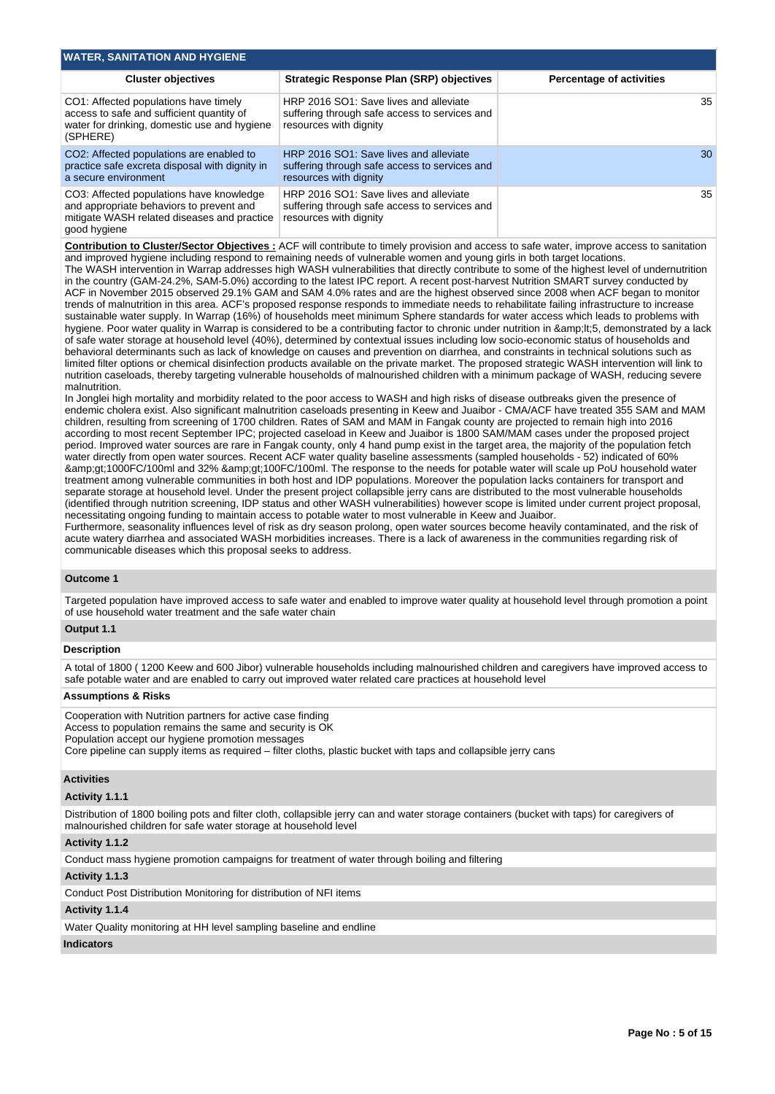| <b>WATER, SANITATION AND HYGIENE</b>                                                                                                                |                                                                                                                   |                                 |
|-----------------------------------------------------------------------------------------------------------------------------------------------------|-------------------------------------------------------------------------------------------------------------------|---------------------------------|
| <b>Cluster objectives</b>                                                                                                                           | <b>Strategic Response Plan (SRP) objectives</b>                                                                   | <b>Percentage of activities</b> |
| CO1: Affected populations have timely<br>access to safe and sufficient quantity of<br>water for drinking, domestic use and hygiene<br>(SPHERE)      | HRP 2016 SO1: Save lives and alleviate<br>suffering through safe access to services and<br>resources with dignity | 35                              |
| CO2: Affected populations are enabled to<br>practice safe excreta disposal with dignity in<br>a secure environment                                  | HRP 2016 SO1: Save lives and alleviate<br>suffering through safe access to services and<br>resources with dignity | 30                              |
| CO3: Affected populations have knowledge<br>and appropriate behaviors to prevent and<br>mitigate WASH related diseases and practice<br>good hygiene | HRP 2016 SO1: Save lives and alleviate<br>suffering through safe access to services and<br>resources with dignity | 35 <sup>5</sup>                 |

**Contribution to Cluster/Sector Objectives :** ACF will contribute to timely provision and access to safe water, improve access to sanitation and improved hygiene including respond to remaining needs of vulnerable women and young girls in both target locations.

The WASH intervention in Warrap addresses high WASH vulnerabilities that directly contribute to some of the highest level of undernutrition in the country (GAM-24.2%, SAM-5.0%) according to the latest IPC report. A recent post-harvest Nutrition SMART survey conducted by ACF in November 2015 observed 29.1% GAM and SAM 4.0% rates and are the highest observed since 2008 when ACF began to monitor trends of malnutrition in this area. ACF's proposed response responds to immediate needs to rehabilitate failing infrastructure to increase sustainable water supply. In Warrap (16%) of households meet minimum Sphere standards for water access which leads to problems with hygiene. Poor water quality in Warrap is considered to be a contributing factor to chronic under nutrition in & lt; 5, demonstrated by a lack of safe water storage at household level (40%), determined by contextual issues including low socio-economic status of households and behavioral determinants such as lack of knowledge on causes and prevention on diarrhea, and constraints in technical solutions such as limited filter options or chemical disinfection products available on the private market. The proposed strategic WASH intervention will link to nutrition caseloads, thereby targeting vulnerable households of malnourished children with a minimum package of WASH, reducing severe malnutrition.

In Jonglei high mortality and morbidity related to the poor access to WASH and high risks of disease outbreaks given the presence of endemic cholera exist. Also significant malnutrition caseloads presenting in Keew and Juaibor - CMA/ACF have treated 355 SAM and MAM children, resulting from screening of 1700 children. Rates of SAM and MAM in Fangak county are projected to remain high into 2016 according to most recent September IPC; projected caseload in Keew and Juaibor is 1800 SAM/MAM cases under the proposed project period. Improved water sources are rare in Fangak county, only 4 hand pump exist in the target area, the majority of the population fetch water directly from open water sources. Recent ACF water quality baseline assessments (sampled households - 52) indicated of 60% >1000FC/100ml and 32% >100FC/100ml. The response to the needs for potable water will scale up PoU household water treatment among vulnerable communities in both host and IDP populations. Moreover the population lacks containers for transport and separate storage at household level. Under the present project collapsible jerry cans are distributed to the most vulnerable households (identified through nutrition screening, IDP status and other WASH vulnerabilities) however scope is limited under current project proposal, necessitating ongoing funding to maintain access to potable water to most vulnerable in Keew and Juaibor.

Furthermore, seasonality influences level of risk as dry season prolong, open water sources become heavily contaminated, and the risk of acute watery diarrhea and associated WASH morbidities increases. There is a lack of awareness in the communities regarding risk of communicable diseases which this proposal seeks to address.

#### **Outcome 1**

Targeted population have improved access to safe water and enabled to improve water quality at household level through promotion a point of use household water treatment and the safe water chain

# **Output 1.1**

# **Description**

A total of 1800 ( 1200 Keew and 600 Jibor) vulnerable households including malnourished children and caregivers have improved access to safe potable water and are enabled to carry out improved water related care practices at household level

#### **Assumptions & Risks**

Cooperation with Nutrition partners for active case finding Access to population remains the same and security is OK Population accept our hygiene promotion messages Core pipeline can supply items as required – filter cloths, plastic bucket with taps and collapsible jerry cans

#### **Activities**

#### **Activity 1.1.1**

Distribution of 1800 boiling pots and filter cloth, collapsible jerry can and water storage containers (bucket with taps) for caregivers of malnourished children for safe water storage at household level

#### **Activity 1.1.2**

Conduct mass hygiene promotion campaigns for treatment of water through boiling and filtering

## **Activity 1.1.3**

Conduct Post Distribution Monitoring for distribution of NFI items

#### **Activity 1.1.4**

Water Quality monitoring at HH level sampling baseline and endline

#### **Indicators**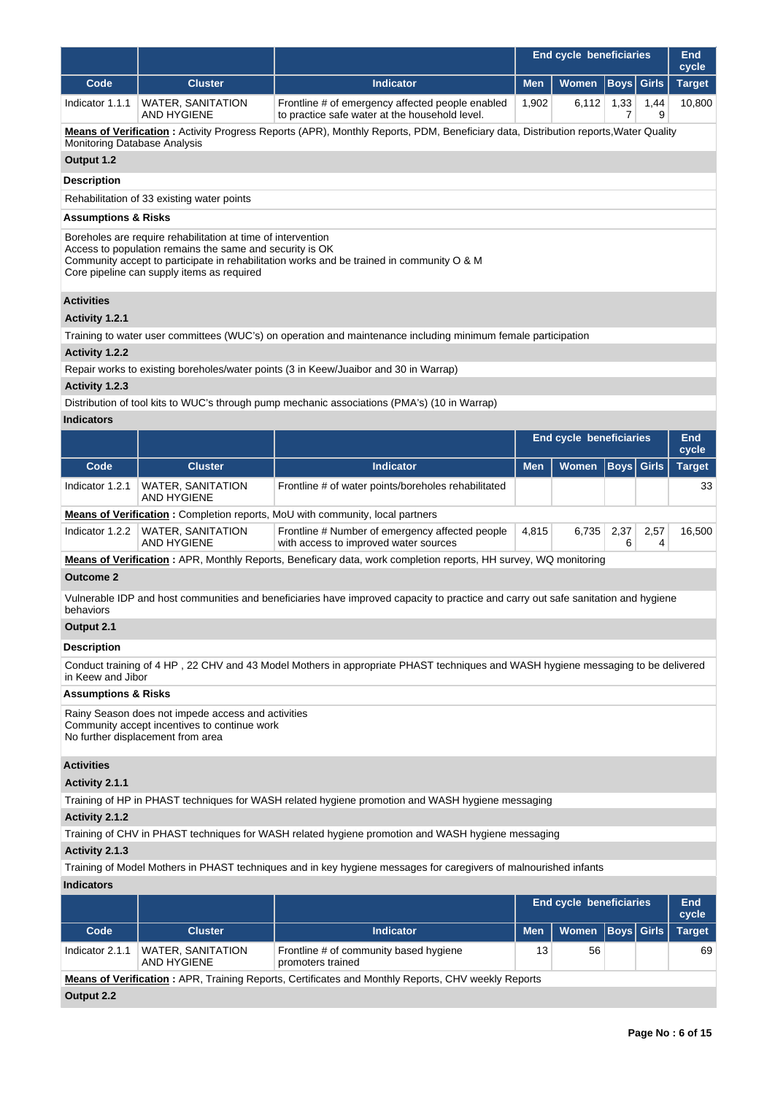|                 |                                         |                                                                                                    |       | <b>End cycle beneficiaries</b>      |      |      |        |  |
|-----------------|-----------------------------------------|----------------------------------------------------------------------------------------------------|-------|-------------------------------------|------|------|--------|--|
| Code            | <b>Cluster</b>                          | <b>Indicator</b>                                                                                   |       | Men   Women   Boys   Girls   Target |      |      |        |  |
| Indicator 1.1.1 | <b>WATER, SANITATION</b><br>AND HYGIENE | Frontline # of emergency affected people enabled<br>to practice safe water at the household level. | 1.902 | 6.112                               | 1.33 | 1.44 | 10,800 |  |

**Means of Verification :** Activity Progress Reports (APR), Monthly Reports, PDM, Beneficiary data, Distribution reports,Water Quality Monitoring Database Analysis

# **Output 1.2**

**Description**

Rehabilitation of 33 existing water points

# **Assumptions & Risks**

Boreholes are require rehabilitation at time of intervention

Access to population remains the same and security is OK

Community accept to participate in rehabilitation works and be trained in community O & M

Core pipeline can supply items as required

# **Activities**

# **Activity 1.2.1**

Training to water user committees (WUC's) on operation and maintenance including minimum female participation

## **Activity 1.2.2**

Repair works to existing boreholes/water points (3 in Keew/Juaibor and 30 in Warrap)

#### **Activity 1.2.3**

Distribution of tool kits to WUC's through pump mechanic associations (PMA's) (10 in Warrap)

# **Indicators**

|                 |                                         |                                                                                          |                | End cycle beneficiaries<br>Women   Boys   Girls |      |      |               |  |
|-----------------|-----------------------------------------|------------------------------------------------------------------------------------------|----------------|-------------------------------------------------|------|------|---------------|--|
| Code            | <b>Cluster</b>                          | <b>Indicator</b>                                                                         | <b>Men</b>     |                                                 |      |      | <b>Target</b> |  |
| Indicator 1.2.1 | <b>WATER, SANITATION</b><br>AND HYGIENE | Frontline # of water points/boreholes rehabilitated                                      |                |                                                 |      |      | 33            |  |
|                 |                                         | <b>Means of Verification:</b> Completion reports, MoU with community, local partners     |                |                                                 |      |      |               |  |
| Indicator 1.2.2 | <b>WATER, SANITATION</b><br>AND HYGIENE | Frontline # Number of emergency affected people<br>with access to improved water sources | 4.815<br>6.735 |                                                 | 2,37 | 2.57 | 16.500        |  |

**Means of Verification :** APR, Monthly Reports, Beneficary data, work completion reports, HH survey, WQ monitoring

# **Outcome 2**

Vulnerable IDP and host communities and beneficiaries have improved capacity to practice and carry out safe sanitation and hygiene behaviors

# **Output 2.1**

# **Description**

Conduct training of 4 HP , 22 CHV and 43 Model Mothers in appropriate PHAST techniques and WASH hygiene messaging to be delivered in Keew and Jibor

# **Assumptions & Risks**

Rainy Season does not impede access and activities Community accept incentives to continue work No further displacement from area

# **Activities**

#### **Activity 2.1.1**

Training of HP in PHAST techniques for WASH related hygiene promotion and WASH hygiene messaging

# **Activity 2.1.2**

Training of CHV in PHAST techniques for WASH related hygiene promotion and WASH hygiene messaging

# **Activity 2.1.3**

Training of Model Mothers in PHAST techniques and in key hygiene messages for caregivers of malnourished infants

#### **Indicators**

|                                                                                                           |                                  |                                                             |            | <b>End cycle beneficiaries</b> |    |  |               |  |  |  |
|-----------------------------------------------------------------------------------------------------------|----------------------------------|-------------------------------------------------------------|------------|--------------------------------|----|--|---------------|--|--|--|
| Code                                                                                                      | <b>Cluster</b>                   | <b>Indicator</b>                                            | <b>Men</b> | Women   Boys   Girls           |    |  | <b>Target</b> |  |  |  |
| Indicator 2.1.1                                                                                           | WATER, SANITATION<br>AND HYGIENE | Frontline # of community based hygiene<br>promoters trained | 56<br>13   |                                | 69 |  |               |  |  |  |
| <b>Means of Verification:</b> APR, Training Reports, Certificates and Monthly Reports, CHV weekly Reports |                                  |                                                             |            |                                |    |  |               |  |  |  |
| Output 2.2                                                                                                |                                  |                                                             |            |                                |    |  |               |  |  |  |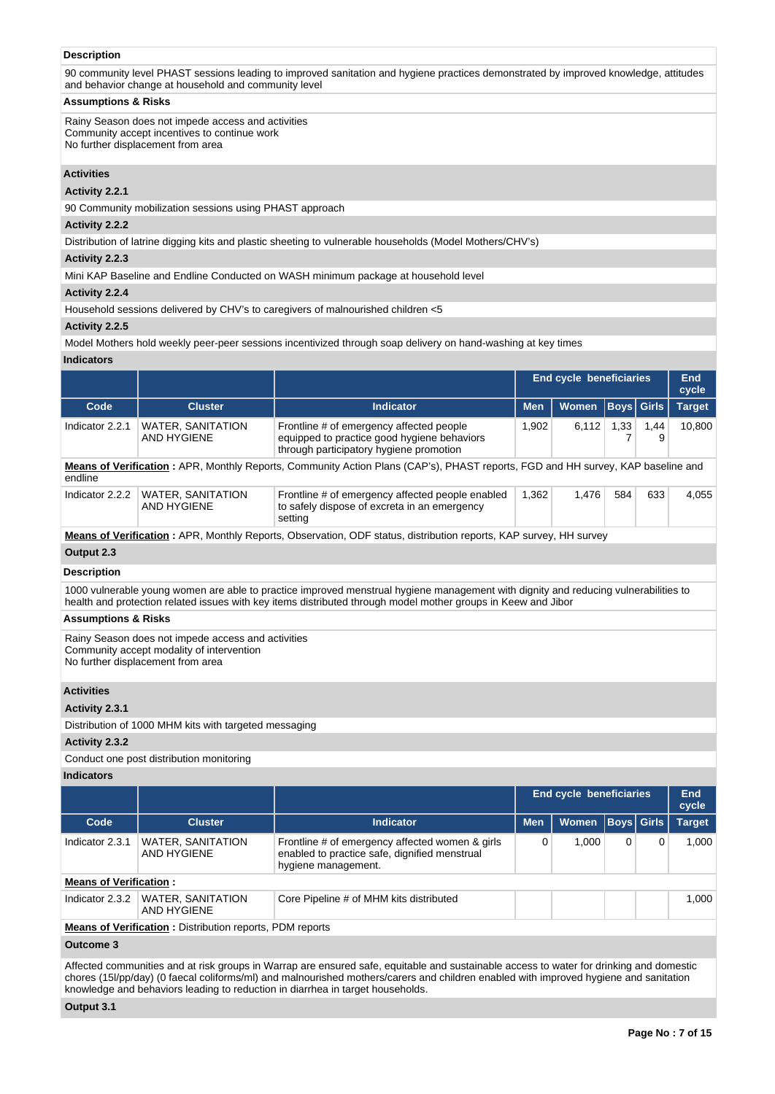# **Description**

90 community level PHAST sessions leading to improved sanitation and hygiene practices demonstrated by improved knowledge, attitudes and behavior change at household and community level

## **Assumptions & Risks**

Rainy Season does not impede access and activities Community accept incentives to continue work No further displacement from area

## **Activities**

# **Activity 2.2.1**

90 Community mobilization sessions using PHAST approach

#### **Activity 2.2.2**

Distribution of latrine digging kits and plastic sheeting to vulnerable households (Model Mothers/CHV's)

#### **Activity 2.2.3**

Mini KAP Baseline and Endline Conducted on WASH minimum package at household level

# **Activity 2.2.4**

Household sessions delivered by CHV's to caregivers of malnourished children <5

#### **Activity 2.2.5**

Model Mothers hold weekly peer-peer sessions incentivized through soap delivery on hand-washing at key times

#### **Indicators**

|                                                                                                                          |                                                                                                                                 |                                                                                                                                    | <b>End cycle beneficiaries</b> |       | <b>End</b><br>cycle |           |               |  |  |  |
|--------------------------------------------------------------------------------------------------------------------------|---------------------------------------------------------------------------------------------------------------------------------|------------------------------------------------------------------------------------------------------------------------------------|--------------------------------|-------|---------------------|-----------|---------------|--|--|--|
| Code                                                                                                                     | <b>Cluster</b>                                                                                                                  | Indicator                                                                                                                          | <b>Women</b><br><b>Men</b>     |       | <b>Boys Girls</b>   |           | <b>Target</b> |  |  |  |
| Indicator 2.2.1                                                                                                          | <b>WATER, SANITATION</b><br>AND HYGIENE                                                                                         | Frontline # of emergency affected people<br>equipped to practice good hygiene behaviors<br>through participatory hygiene promotion | 1.902                          | 6.112 | 1,33                | 1,44<br>9 | 10.800        |  |  |  |
| endline                                                                                                                  | Means of Verification: APR, Monthly Reports, Community Action Plans (CAP's), PHAST reports, FGD and HH survey, KAP baseline and |                                                                                                                                    |                                |       |                     |           |               |  |  |  |
| Indicator 2.2.2                                                                                                          | <b>WATER, SANITATION</b><br>AND HYGIENE                                                                                         | Frontline # of emergency affected people enabled<br>to safely dispose of excreta in an emergency<br>setting                        | 1.362                          | 1.476 | 584                 | 633       | 4.055         |  |  |  |
| <b>Means of Verification:</b> APR, Monthly Reports, Observation, ODF status, distribution reports, KAP survey, HH survey |                                                                                                                                 |                                                                                                                                    |                                |       |                     |           |               |  |  |  |
| Output 2.3                                                                                                               |                                                                                                                                 |                                                                                                                                    |                                |       |                     |           |               |  |  |  |

# **Description**

1000 vulnerable young women are able to practice improved menstrual hygiene management with dignity and reducing vulnerabilities to health and protection related issues with key items distributed through model mother groups in Keew and Jibor

#### **Assumptions & Risks**

Rainy Season does not impede access and activities Community accept modality of intervention No further displacement from area

## **Activities**

# **Activity 2.3.1**

Distribution of 1000 MHM kits with targeted messaging

#### **Activity 2.3.2**

Conduct one post distribution monitoring

# **Indicators**

|                               |                                                                 |                                                                                                                         | <b>End cycle beneficiaries</b> |       | End<br>cycle      |   |               |  |  |  |
|-------------------------------|-----------------------------------------------------------------|-------------------------------------------------------------------------------------------------------------------------|--------------------------------|-------|-------------------|---|---------------|--|--|--|
| Code                          | <b>Cluster</b>                                                  | <b>Indicator</b>                                                                                                        | <b>Men</b>                     | Women | <b>Boys</b> Girls |   | <b>Target</b> |  |  |  |
| Indicator 2.3.1               | <b>WATER, SANITATION</b><br>AND HYGIENE                         | Frontline # of emergency affected women & girls<br>enabled to practice safe, dignified menstrual<br>hygiene management. |                                | 1.000 | 0                 | 0 | 1.000         |  |  |  |
| <b>Means of Verification:</b> |                                                                 |                                                                                                                         |                                |       |                   |   |               |  |  |  |
| Indicator 2.3.2               | WATER, SANITATION<br>AND HYGIENE                                | Core Pipeline # of MHM kits distributed                                                                                 |                                |       |                   |   | 1.000         |  |  |  |
|                               | <b>Means of Verification:</b> Distribution reports, PDM reports |                                                                                                                         |                                |       |                   |   |               |  |  |  |

# **Outcome 3**

Affected communities and at risk groups in Warrap are ensured safe, equitable and sustainable access to water for drinking and domestic chores (15l/pp/day) (0 faecal coliforms/ml) and malnourished mothers/carers and children enabled with improved hygiene and sanitation knowledge and behaviors leading to reduction in diarrhea in target households.

# **Output 3.1**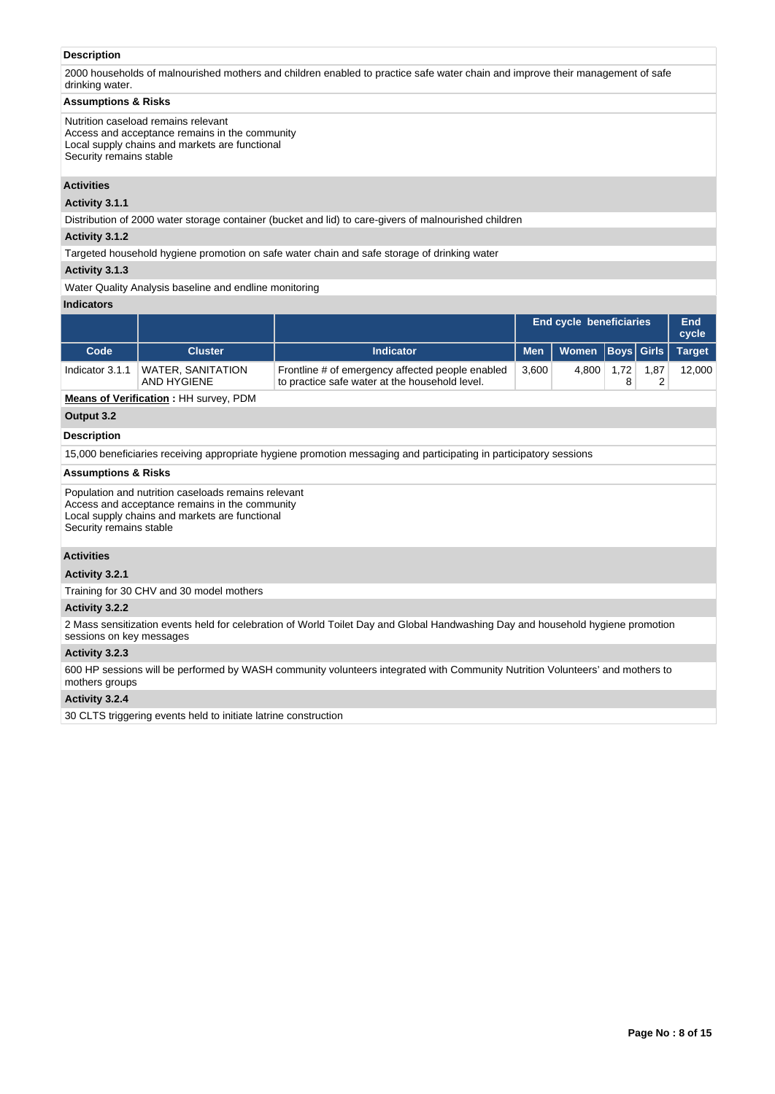# **Description**

2000 households of malnourished mothers and children enabled to practice safe water chain and improve their management of safe drinking water.

#### **Assumptions & Risks**

Nutrition caseload remains relevant Access and acceptance remains in the community Local supply chains and markets are functional Security remains stable

## **Activities**

**Activity 3.1.1** 

Distribution of 2000 water storage container (bucket and lid) to care-givers of malnourished children

# **Activity 3.1.2**

Targeted household hygiene promotion on safe water chain and safe storage of drinking water

# **Activity 3.1.3**

Water Quality Analysis baseline and endline monitoring

#### **Indicators**

|                 |                                  |                                                                                                    |            | <b>End cycle beneficiaries</b> |      |      |        |
|-----------------|----------------------------------|----------------------------------------------------------------------------------------------------|------------|--------------------------------|------|------|--------|
| Code            | <b>Cluster</b>                   | <b>Indicator</b>                                                                                   | <b>Men</b> | Women Boys Girls               |      |      | Target |
| Indicator 3.1.1 | WATER, SANITATION<br>AND HYGIENE | Frontline # of emergency affected people enabled<br>to practice safe water at the household level. | 3.600      | 4.800                          | 1.72 | 1.87 | 12.000 |

**Means of Verification :** HH survey, PDM

# **Output 3.2**

# **Description**

15,000 beneficiaries receiving appropriate hygiene promotion messaging and participating in participatory sessions

# **Assumptions & Risks**

Population and nutrition caseloads remains relevant Access and acceptance remains in the community Local supply chains and markets are functional Security remains stable

## **Activities**

**Activity 3.2.1** 

Training for 30 CHV and 30 model mothers

# **Activity 3.2.2**

2 Mass sensitization events held for celebration of World Toilet Day and Global Handwashing Day and household hygiene promotion sessions on key messages

# **Activity 3.2.3**

600 HP sessions will be performed by WASH community volunteers integrated with Community Nutrition Volunteers' and mothers to mothers groups

#### **Activity 3.2.4**

30 CLTS triggering events held to initiate latrine construction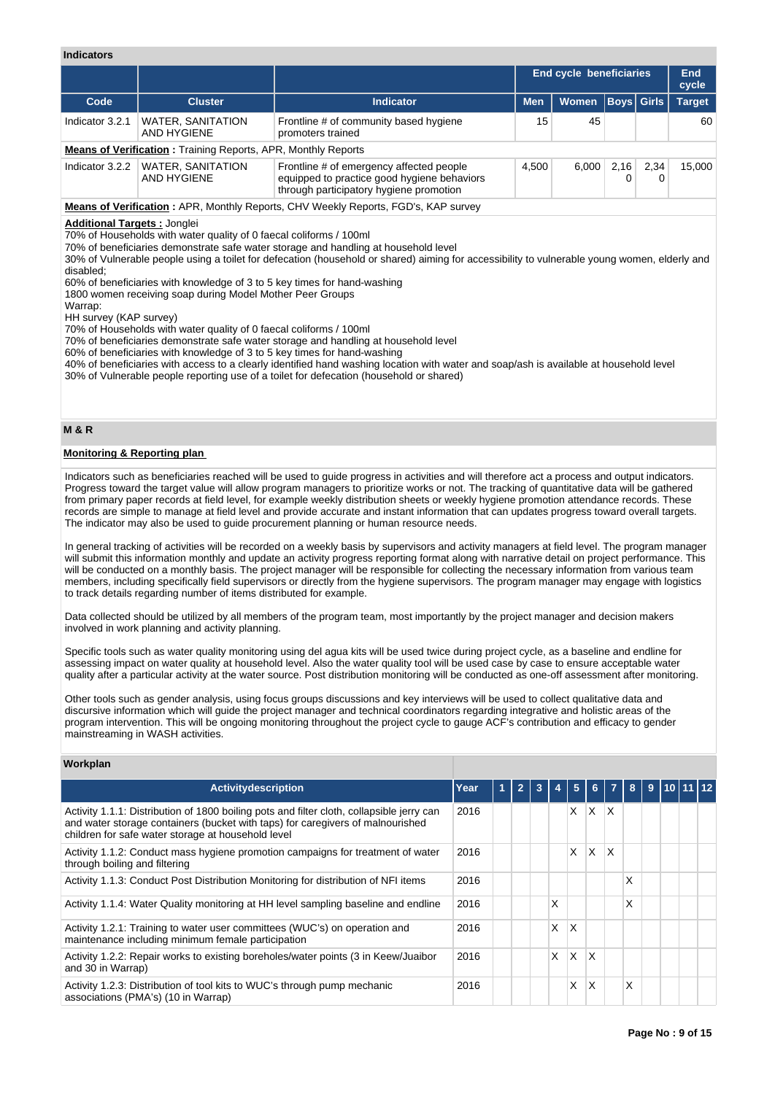#### **Indicators**

| <b>Indicators</b>                              |                                                                                                                                                                                                                                                                                         |                                                                                                                                                                                                                                                                                                                          |            |                                |             |              |               |  |  |
|------------------------------------------------|-----------------------------------------------------------------------------------------------------------------------------------------------------------------------------------------------------------------------------------------------------------------------------------------|--------------------------------------------------------------------------------------------------------------------------------------------------------------------------------------------------------------------------------------------------------------------------------------------------------------------------|------------|--------------------------------|-------------|--------------|---------------|--|--|
|                                                |                                                                                                                                                                                                                                                                                         |                                                                                                                                                                                                                                                                                                                          |            | <b>End cycle beneficiaries</b> |             |              |               |  |  |
| Code                                           | <b>Cluster</b>                                                                                                                                                                                                                                                                          | <b>Indicator</b>                                                                                                                                                                                                                                                                                                         | <b>Men</b> | <b>Women</b>                   | <b>Boys</b> | <b>Girls</b> | <b>Target</b> |  |  |
| Indicator 3.2.1                                | <b>WATER, SANITATION</b><br><b>AND HYGIENE</b>                                                                                                                                                                                                                                          | Frontline # of community based hygiene<br>promoters trained                                                                                                                                                                                                                                                              | 15         | 45                             |             |              | 60            |  |  |
|                                                | <b>Means of Verification: Training Reports, APR, Monthly Reports</b>                                                                                                                                                                                                                    |                                                                                                                                                                                                                                                                                                                          |            |                                |             |              |               |  |  |
| Indicator 3.2.2                                | <b>WATER, SANITATION</b><br><b>AND HYGIENE</b>                                                                                                                                                                                                                                          | Frontline # of emergency affected people<br>equipped to practice good hygiene behaviors<br>through participatory hygiene promotion                                                                                                                                                                                       | 4,500      | 6,000                          | 2,16<br>0   | 2,34<br>0    | 15,000        |  |  |
|                                                |                                                                                                                                                                                                                                                                                         | <b>Means of Verification: APR, Monthly Reports, CHV Weekly Reports, FGD's, KAP survey</b>                                                                                                                                                                                                                                |            |                                |             |              |               |  |  |
| disabled;<br>Warrap:<br>HH survey (KAP survey) | 60% of beneficiaries with knowledge of 3 to 5 key times for hand-washing<br>1800 women receiving soap during Model Mother Peer Groups<br>70% of Households with water quality of 0 faecal coliforms / 100ml<br>60% of beneficiaries with knowledge of 3 to 5 key times for hand-washing | 70% of beneficiaries demonstrate safe water storage and handling at household level<br>40% of beneficiaries with access to a clearly identified hand washing location with water and soap/ash is available at household level<br>30% of Vulnerable people reporting use of a toilet for defecation (household or shared) |            |                                |             |              |               |  |  |
| <b>M&amp;R</b>                                 |                                                                                                                                                                                                                                                                                         |                                                                                                                                                                                                                                                                                                                          |            |                                |             |              |               |  |  |
| <b>Monitoring &amp; Reporting plan</b>         |                                                                                                                                                                                                                                                                                         |                                                                                                                                                                                                                                                                                                                          |            |                                |             |              |               |  |  |
|                                                |                                                                                                                                                                                                                                                                                         | Indicators such as beneficiaries reached will be used to guide progress in activities and will therefore act a process and output indicators.                                                                                                                                                                            |            |                                |             |              |               |  |  |

Progress toward the target value will allow program managers to prioritize works or not. The tracking of quantitative data will be gathered from primary paper records at field level, for example weekly distribution sheets or weekly hygiene promotion attendance records. These records are simple to manage at field level and provide accurate and instant information that can updates progress toward overall targets. The indicator may also be used to guide procurement planning or human resource needs.

In general tracking of activities will be recorded on a weekly basis by supervisors and activity managers at field level. The program manager will submit this information monthly and update an activity progress reporting format along with narrative detail on project performance. This will be conducted on a monthly basis. The project manager will be responsible for collecting the necessary information from various team members, including specifically field supervisors or directly from the hygiene supervisors. The program manager may engage with logistics to track details regarding number of items distributed for example.

Data collected should be utilized by all members of the program team, most importantly by the project manager and decision makers involved in work planning and activity planning.

Specific tools such as water quality monitoring using del agua kits will be used twice during project cycle, as a baseline and endline for assessing impact on water quality at household level. Also the water quality tool will be used case by case to ensure acceptable water quality after a particular activity at the water source. Post distribution monitoring will be conducted as one-off assessment after monitoring.

Other tools such as gender analysis, using focus groups discussions and key interviews will be used to collect qualitative data and discursive information which will guide the project manager and technical coordinators regarding integrative and holistic areas of the program intervention. This will be ongoing monitoring throughout the project cycle to gauge ACF's contribution and efficacy to gender mainstreaming in WASH activities.

# **Workplan**

| <b>Activitydescription</b>                                                                                                                                                                                                        | Year |  | $\overline{2}$ |  |   | 5 | 6 |   |   | 9 | $110$ 11 12 |  |
|-----------------------------------------------------------------------------------------------------------------------------------------------------------------------------------------------------------------------------------|------|--|----------------|--|---|---|---|---|---|---|-------------|--|
| Activity 1.1.1: Distribution of 1800 boiling pots and filter cloth, collapsible jerry can<br>and water storage containers (bucket with taps) for caregivers of malnourished<br>children for safe water storage at household level | 2016 |  |                |  |   | X | X | X |   |   |             |  |
| Activity 1.1.2: Conduct mass hygiene promotion campaigns for treatment of water<br>through boiling and filtering                                                                                                                  | 2016 |  |                |  |   | X | X | X |   |   |             |  |
| Activity 1.1.3: Conduct Post Distribution Monitoring for distribution of NFI items                                                                                                                                                | 2016 |  |                |  |   |   |   |   | X |   |             |  |
| Activity 1.1.4: Water Quality monitoring at HH level sampling baseline and endline                                                                                                                                                | 2016 |  |                |  | X |   |   |   | X |   |             |  |
| Activity 1.2.1: Training to water user committees (WUC's) on operation and<br>maintenance including minimum female participation                                                                                                  | 2016 |  |                |  | X | X |   |   |   |   |             |  |
| Activity 1.2.2: Repair works to existing boreholes/water points (3 in Keew/Juaibor<br>and 30 in Warrap)                                                                                                                           | 2016 |  |                |  | X | X | X |   |   |   |             |  |
| Activity 1.2.3: Distribution of tool kits to WUC's through pump mechanic<br>associations (PMA's) (10 in Warrap)                                                                                                                   | 2016 |  |                |  |   | x | X |   | X |   |             |  |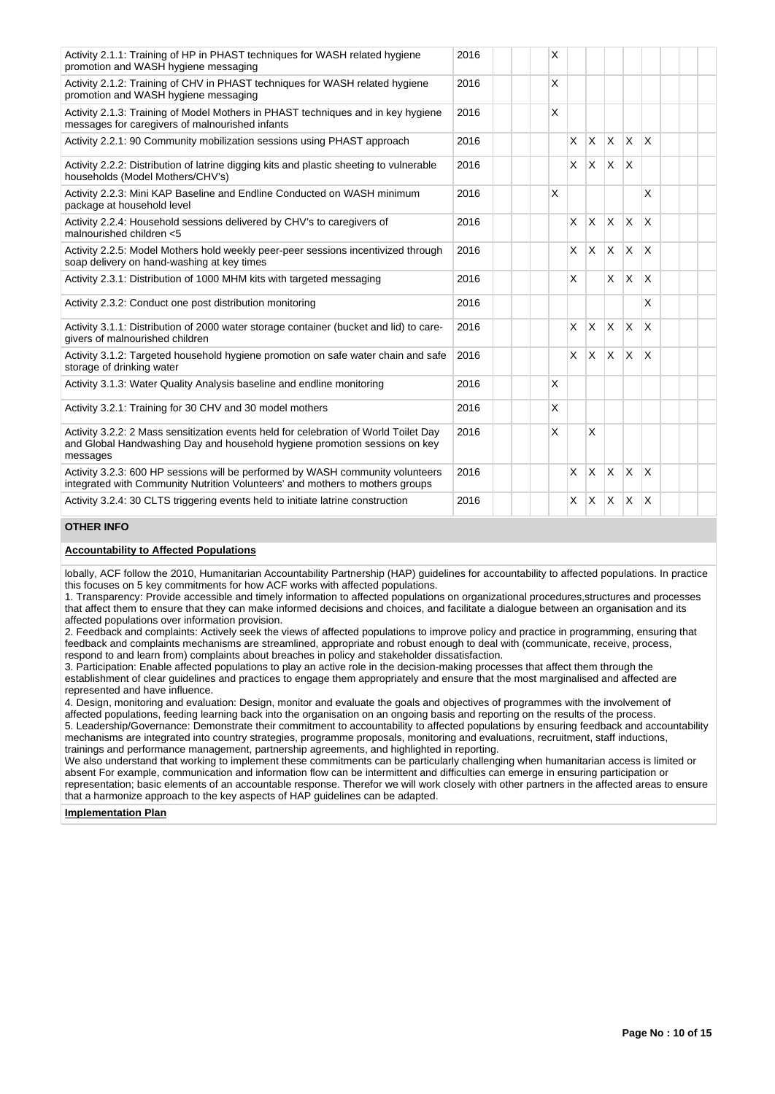| Activity 2.1.1: Training of HP in PHAST techniques for WASH related hygiene<br>promotion and WASH hygiene messaging                                                            | 2016 |  | X |                         |              |              |              |                         |  |  |
|--------------------------------------------------------------------------------------------------------------------------------------------------------------------------------|------|--|---|-------------------------|--------------|--------------|--------------|-------------------------|--|--|
| Activity 2.1.2: Training of CHV in PHAST techniques for WASH related hygiene<br>promotion and WASH hygiene messaging                                                           | 2016 |  | X |                         |              |              |              |                         |  |  |
| Activity 2.1.3: Training of Model Mothers in PHAST techniques and in key hygiene<br>messages for caregivers of malnourished infants                                            | 2016 |  | X |                         |              |              |              |                         |  |  |
| Activity 2.2.1: 90 Community mobilization sessions using PHAST approach                                                                                                        | 2016 |  | X | $\overline{\mathsf{x}}$ | $X$ $X$      |              | ΙX.          |                         |  |  |
| Activity 2.2.2: Distribution of latrine digging kits and plastic sheeting to vulnerable<br>households (Model Mothers/CHV's)                                                    | 2016 |  |   | X                       | $\times$     | <sup>X</sup> | X            |                         |  |  |
| Activity 2.2.3: Mini KAP Baseline and Endline Conducted on WASH minimum<br>package at household level                                                                          | 2016 |  | X |                         |              |              |              | X                       |  |  |
| Activity 2.2.4: Household sessions delivered by CHV's to caregivers of<br>2016<br>malnourished children <5                                                                     |      |  |   |                         |              | lx.          | <b>X</b>     | $\overline{\mathsf{x}}$ |  |  |
| Activity 2.2.5: Model Mothers hold weekly peer-peer sessions incentivized through<br>soap delivery on hand-washing at key times                                                | 2016 |  |   | X                       | X            | IX.          | X            | X                       |  |  |
| Activity 2.3.1: Distribution of 1000 MHM kits with targeted messaging                                                                                                          | 2016 |  |   | $\mathsf{x}$            |              | IX.          | <b>X</b>     | $\mathsf{x}$            |  |  |
| Activity 2.3.2: Conduct one post distribution monitoring                                                                                                                       | 2016 |  |   |                         |              |              |              | X                       |  |  |
| Activity 3.1.1: Distribution of 2000 water storage container (bucket and lid) to care-<br>givers of malnourished children                                                      | 2016 |  |   | X                       | $\mathsf{X}$ | IX.          | $\mathsf{X}$ | $\overline{\mathsf{x}}$ |  |  |
| Activity 3.1.2: Targeted household hygiene promotion on safe water chain and safe<br>storage of drinking water                                                                 | 2016 |  |   | $\mathsf{x}$            | ΙX.          | $x \times$   |              | $\overline{\mathsf{x}}$ |  |  |
| Activity 3.1.3: Water Quality Analysis baseline and endline monitoring                                                                                                         | 2016 |  | X |                         |              |              |              |                         |  |  |
| Activity 3.2.1: Training for 30 CHV and 30 model mothers                                                                                                                       | 2016 |  | X |                         |              |              |              |                         |  |  |
| Activity 3.2.2: 2 Mass sensitization events held for celebration of World Toilet Day<br>and Global Handwashing Day and household hygiene promotion sessions on key<br>messages | 2016 |  | X |                         | X            |              |              |                         |  |  |
| Activity 3.2.3: 600 HP sessions will be performed by WASH community volunteers<br>integrated with Community Nutrition Volunteers' and mothers to mothers groups                | 2016 |  |   | X                       | $\mathsf{x}$ | ΙX.          | $\mathsf{x}$ | X                       |  |  |
| Activity 3.2.4: 30 CLTS triggering events held to initiate latrine construction                                                                                                | 2016 |  |   | X                       | ΙX.          | $\mathsf{X}$ | $\times$     | $\overline{\mathsf{x}}$ |  |  |

# **OTHER INFO**

# **Accountability to Affected Populations**

lobally, ACF follow the 2010, Humanitarian Accountability Partnership (HAP) guidelines for accountability to affected populations. In practice this focuses on 5 key commitments for how ACF works with affected populations.

1. Transparency: Provide accessible and timely information to affected populations on organizational procedures,structures and processes that affect them to ensure that they can make informed decisions and choices, and facilitate a dialogue between an organisation and its affected populations over information provision.

2. Feedback and complaints: Actively seek the views of affected populations to improve policy and practice in programming, ensuring that feedback and complaints mechanisms are streamlined, appropriate and robust enough to deal with (communicate, receive, process, respond to and learn from) complaints about breaches in policy and stakeholder dissatisfaction.

3. Participation: Enable affected populations to play an active role in the decision-making processes that affect them through the establishment of clear guidelines and practices to engage them appropriately and ensure that the most marginalised and affected are represented and have influence.

4. Design, monitoring and evaluation: Design, monitor and evaluate the goals and objectives of programmes with the involvement of affected populations, feeding learning back into the organisation on an ongoing basis and reporting on the results of the process. 5. Leadership/Governance: Demonstrate their commitment to accountability to affected populations by ensuring feedback and accountability mechanisms are integrated into country strategies, programme proposals, monitoring and evaluations, recruitment, staff inductions, trainings and performance management, partnership agreements, and highlighted in reporting.

We also understand that working to implement these commitments can be particularly challenging when humanitarian access is limited or absent For example, communication and information flow can be intermittent and difficulties can emerge in ensuring participation or representation; basic elements of an accountable response. Therefor we will work closely with other partners in the affected areas to ensure that a harmonize approach to the key aspects of HAP guidelines can be adapted.

**Implementation Plan**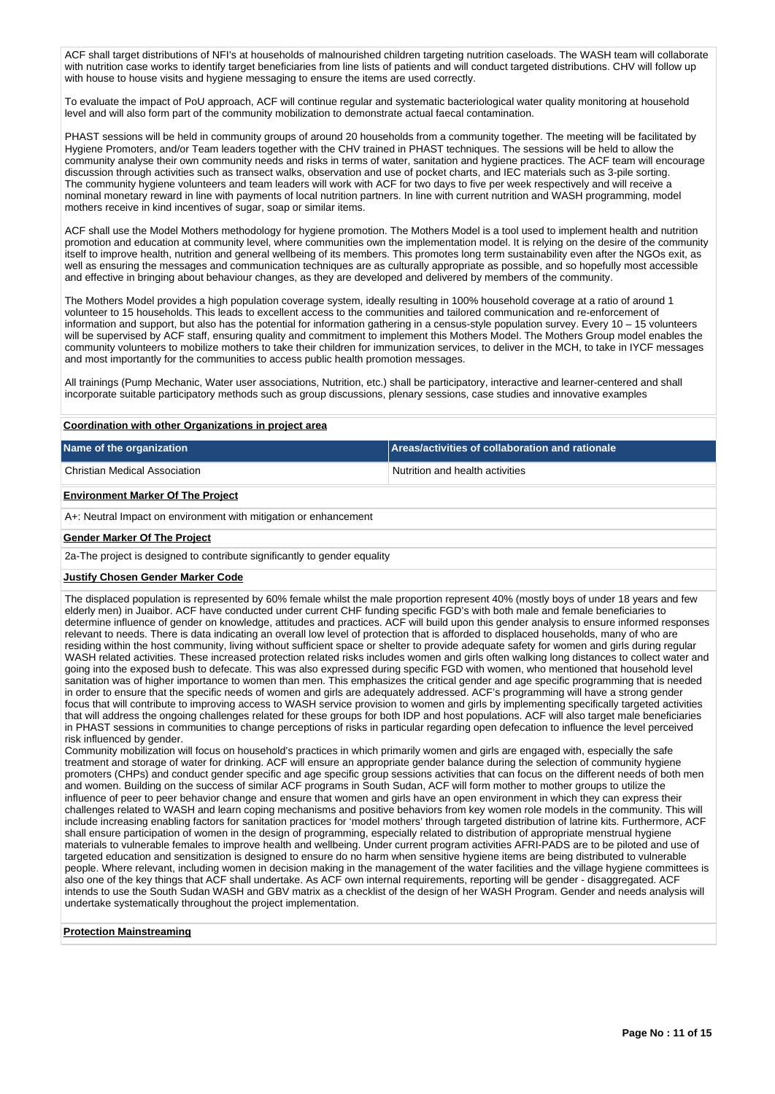ACF shall target distributions of NFI's at households of malnourished children targeting nutrition caseloads. The WASH team will collaborate with nutrition case works to identify target beneficiaries from line lists of patients and will conduct targeted distributions. CHV will follow up with house to house visits and hygiene messaging to ensure the items are used correctly.

To evaluate the impact of PoU approach, ACF will continue regular and systematic bacteriological water quality monitoring at household level and will also form part of the community mobilization to demonstrate actual faecal contamination.

PHAST sessions will be held in community groups of around 20 households from a community together. The meeting will be facilitated by Hygiene Promoters, and/or Team leaders together with the CHV trained in PHAST techniques. The sessions will be held to allow the community analyse their own community needs and risks in terms of water, sanitation and hygiene practices. The ACF team will encourage discussion through activities such as transect walks, observation and use of pocket charts, and IEC materials such as 3-pile sorting. The community hygiene volunteers and team leaders will work with ACF for two days to five per week respectively and will receive a nominal monetary reward in line with payments of local nutrition partners. In line with current nutrition and WASH programming, model mothers receive in kind incentives of sugar, soap or similar items.

ACF shall use the Model Mothers methodology for hygiene promotion. The Mothers Model is a tool used to implement health and nutrition promotion and education at community level, where communities own the implementation model. It is relying on the desire of the community itself to improve health, nutrition and general wellbeing of its members. This promotes long term sustainability even after the NGOs exit, as well as ensuring the messages and communication techniques are as culturally appropriate as possible, and so hopefully most accessible and effective in bringing about behaviour changes, as they are developed and delivered by members of the community.

The Mothers Model provides a high population coverage system, ideally resulting in 100% household coverage at a ratio of around 1 volunteer to 15 households. This leads to excellent access to the communities and tailored communication and re-enforcement of information and support, but also has the potential for information gathering in a census-style population survey. Every 10 – 15 volunteers will be supervised by ACF staff, ensuring quality and commitment to implement this Mothers Model. The Mothers Group model enables the community volunteers to mobilize mothers to take their children for immunization services, to deliver in the MCH, to take in IYCF messages and most importantly for the communities to access public health promotion messages.

All trainings (Pump Mechanic, Water user associations, Nutrition, etc.) shall be participatory, interactive and learner-centered and shall incorporate suitable participatory methods such as group discussions, plenary sessions, case studies and innovative examples

#### **Coordination with other Organizations in project area**

| Name of the organization                                         | <b>Areas/activities of collaboration and rationale</b> |  |  |  |  |  |
|------------------------------------------------------------------|--------------------------------------------------------|--|--|--|--|--|
| <b>Christian Medical Association</b>                             | Nutrition and health activities                        |  |  |  |  |  |
| <b>Environment Marker Of The Project</b>                         |                                                        |  |  |  |  |  |
| A+: Neutral Impact on environment with mitigation or enhancement |                                                        |  |  |  |  |  |
| <b>Gender Marker Of The Project</b>                              |                                                        |  |  |  |  |  |

2a-The project is designed to contribute significantly to gender equality

#### **Justify Chosen Gender Marker Code**

The displaced population is represented by 60% female whilst the male proportion represent 40% (mostly boys of under 18 years and few elderly men) in Juaibor. ACF have conducted under current CHF funding specific FGD's with both male and female beneficiaries to determine influence of gender on knowledge, attitudes and practices. ACF will build upon this gender analysis to ensure informed responses relevant to needs. There is data indicating an overall low level of protection that is afforded to displaced households, many of who are residing within the host community, living without sufficient space or shelter to provide adequate safety for women and girls during regular WASH related activities. These increased protection related risks includes women and girls often walking long distances to collect water and going into the exposed bush to defecate. This was also expressed during specific FGD with women, who mentioned that household level sanitation was of higher importance to women than men. This emphasizes the critical gender and age specific programming that is needed in order to ensure that the specific needs of women and girls are adequately addressed. ACF's programming will have a strong gender focus that will contribute to improving access to WASH service provision to women and girls by implementing specifically targeted activities that will address the ongoing challenges related for these groups for both IDP and host populations. ACF will also target male beneficiaries in PHAST sessions in communities to change perceptions of risks in particular regarding open defecation to influence the level perceived risk influenced by gender.

Community mobilization will focus on household's practices in which primarily women and girls are engaged with, especially the safe treatment and storage of water for drinking. ACF will ensure an appropriate gender balance during the selection of community hygiene promoters (CHPs) and conduct gender specific and age specific group sessions activities that can focus on the different needs of both men and women. Building on the success of similar ACF programs in South Sudan, ACF will form mother to mother groups to utilize the influence of peer to peer behavior change and ensure that women and girls have an open environment in which they can express their challenges related to WASH and learn coping mechanisms and positive behaviors from key women role models in the community. This will include increasing enabling factors for sanitation practices for 'model mothers' through targeted distribution of latrine kits. Furthermore, ACF shall ensure participation of women in the design of programming, especially related to distribution of appropriate menstrual hygiene materials to vulnerable females to improve health and wellbeing. Under current program activities AFRI-PADS are to be piloted and use of targeted education and sensitization is designed to ensure do no harm when sensitive hygiene items are being distributed to vulnerable people. Where relevant, including women in decision making in the management of the water facilities and the village hygiene committees is also one of the key things that ACF shall undertake. As ACF own internal requirements, reporting will be gender - disaggregated. ACF intends to use the South Sudan WASH and GBV matrix as a checklist of the design of her WASH Program. Gender and needs analysis will undertake systematically throughout the project implementation.

#### **Protection Mainstreaming**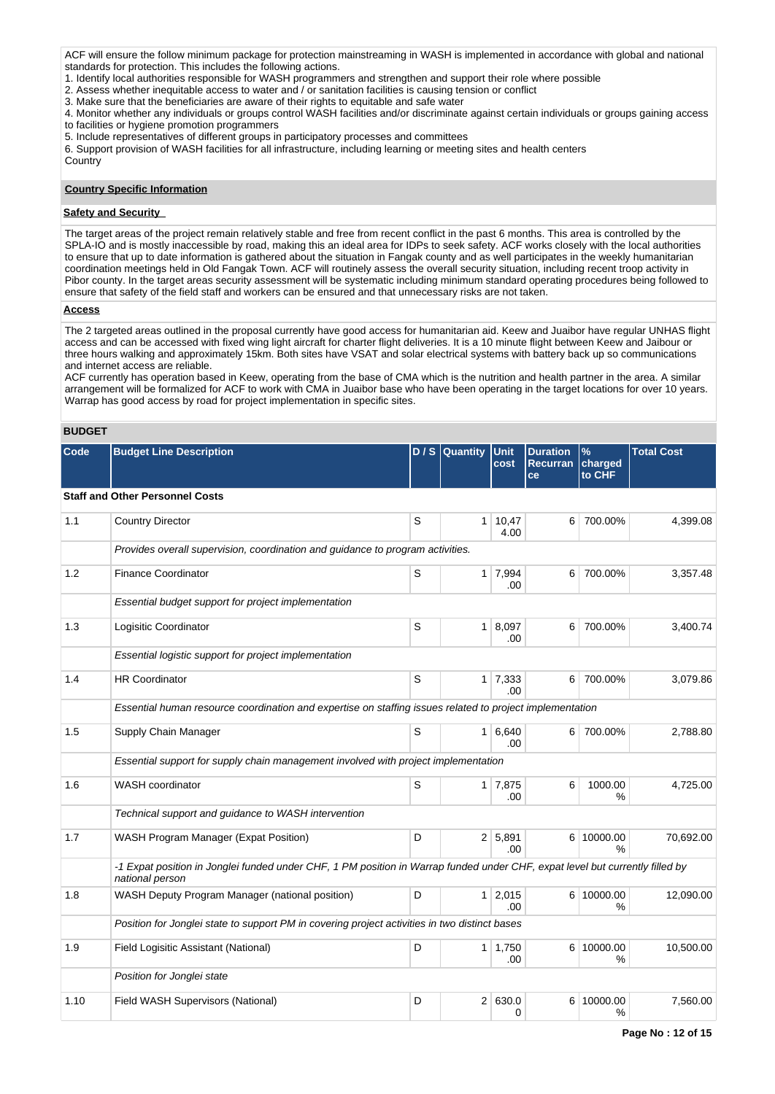ACF will ensure the follow minimum package for protection mainstreaming in WASH is implemented in accordance with global and national standards for protection. This includes the following actions.

1. Identify local authorities responsible for WASH programmers and strengthen and support their role where possible

- 2. Assess whether inequitable access to water and / or sanitation facilities is causing tension or conflict
- 3. Make sure that the beneficiaries are aware of their rights to equitable and safe water

4. Monitor whether any individuals or groups control WASH facilities and/or discriminate against certain individuals or groups gaining access

to facilities or hygiene promotion programmers

5. Include representatives of different groups in participatory processes and committees

6. Support provision of WASH facilities for all infrastructure, including learning or meeting sites and health centers

Country

## **Country Specific Information**

# **Safety and Security**

The target areas of the project remain relatively stable and free from recent conflict in the past 6 months. This area is controlled by the SPLA-IO and is mostly inaccessible by road, making this an ideal area for IDPs to seek safety. ACF works closely with the local authorities to ensure that up to date information is gathered about the situation in Fangak county and as well participates in the weekly humanitarian coordination meetings held in Old Fangak Town. ACF will routinely assess the overall security situation, including recent troop activity in Pibor county. In the target areas security assessment will be systematic including minimum standard operating procedures being followed to ensure that safety of the field staff and workers can be ensured and that unnecessary risks are not taken.

#### **Access**

The 2 targeted areas outlined in the proposal currently have good access for humanitarian aid. Keew and Juaibor have regular UNHAS flight access and can be accessed with fixed wing light aircraft for charter flight deliveries. It is a 10 minute flight between Keew and Jaibour or three hours walking and approximately 15km. Both sites have VSAT and solar electrical systems with battery back up so communications and internet access are reliable.

ACF currently has operation based in Keew, operating from the base of CMA which is the nutrition and health partner in the area. A similar arrangement will be formalized for ACF to work with CMA in Juaibor base who have been operating in the target locations for over 10 years. Warrap has good access by road for project implementation in specific sites.

# **BUDGET**

| Code | <b>Budget Line Description</b>                                                                                                                  |   | $D / S$ Quantity | <b>Unit</b><br>cost   | <b>Duration</b><br>Recurran<br>ce | $\%$<br>charged<br>to CHF   | <b>Total Cost</b> |
|------|-------------------------------------------------------------------------------------------------------------------------------------------------|---|------------------|-----------------------|-----------------------------------|-----------------------------|-------------------|
|      | <b>Staff and Other Personnel Costs</b>                                                                                                          |   |                  |                       |                                   |                             |                   |
| 1.1  | <b>Country Director</b>                                                                                                                         | S | $\mathbf{1}$     | 10,47<br>4.00         | 6                                 | 700.00%                     | 4,399.08          |
|      | Provides overall supervision, coordination and guidance to program activities.                                                                  |   |                  |                       |                                   |                             |                   |
| 1.2  | <b>Finance Coordinator</b>                                                                                                                      | S |                  | $1 \mid 7,994$<br>.00 | 6                                 | 700.00%                     | 3,357.48          |
|      | Essential budget support for project implementation                                                                                             |   |                  |                       |                                   |                             |                   |
| 1.3  | Logisitic Coordinator                                                                                                                           | S |                  | 1   8,097<br>.00      | 6                                 | 700.00%                     | 3,400.74          |
|      | Essential logistic support for project implementation                                                                                           |   |                  |                       |                                   |                             |                   |
| 1.4  | <b>HR Coordinator</b>                                                                                                                           | S |                  | $1 \mid 7,333$<br>.00 | 6 <sup>1</sup>                    | 700.00%                     | 3,079.86          |
|      | Essential human resource coordination and expertise on staffing issues related to project implementation                                        |   |                  |                       |                                   |                             |                   |
| 1.5  | Supply Chain Manager                                                                                                                            | S |                  | 1   6,640<br>.00      | 6 <sup>1</sup>                    | 700.00%                     | 2,788.80          |
|      | Essential support for supply chain management involved with project implementation                                                              |   |                  |                       |                                   |                             |                   |
| 1.6  | <b>WASH</b> coordinator                                                                                                                         | S |                  | $1 \mid 7,875$<br>.00 | 6                                 | 1000.00<br>%                | 4,725.00          |
|      | Technical support and guidance to WASH intervention                                                                                             |   |                  |                       |                                   |                             |                   |
| 1.7  | WASH Program Manager (Expat Position)                                                                                                           | D |                  | 2 5,891<br>.00        |                                   | 6 10000.00<br>$\frac{1}{2}$ | 70,692.00         |
|      | -1 Expat position in Jonglei funded under CHF, 1 PM position in Warrap funded under CHF, expat level but currently filled by<br>national person |   |                  |                       |                                   |                             |                   |
| 1.8  | WASH Deputy Program Manager (national position)                                                                                                 | D |                  | $1 \mid 2,015$<br>.00 |                                   | 6 10000.00<br>%             | 12,090.00         |
|      | Position for Jonglei state to support PM in covering project activities in two distinct bases                                                   |   |                  |                       |                                   |                             |                   |
| 1.9  | Field Logisitic Assistant (National)                                                                                                            | D |                  | $1 \mid 1,750$<br>.00 |                                   | 6 10000.00<br>%             | 10,500.00         |
|      | Position for Jonglei state                                                                                                                      |   |                  |                       |                                   |                             |                   |
| 1.10 | Field WASH Supervisors (National)                                                                                                               | D |                  | 2 630.0<br>$\Omega$   |                                   | 6 10000.00<br>%             | 7,560.00          |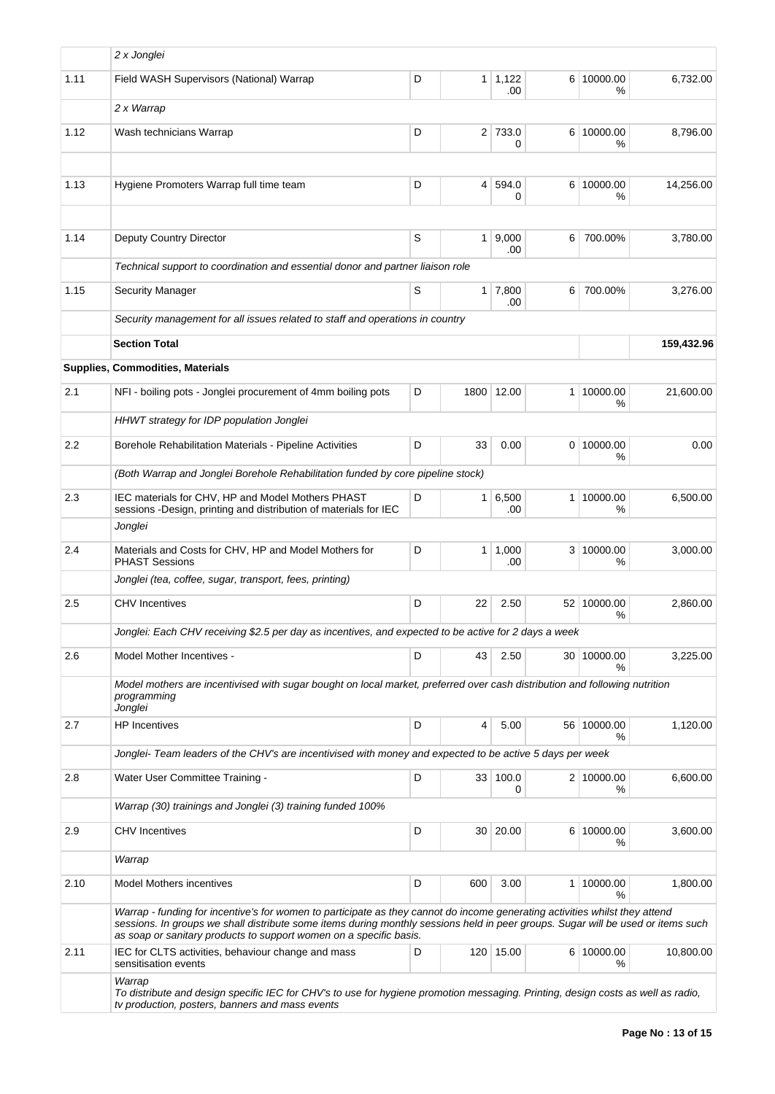|      | 2 x Jonglei                                                                                                                                                                                                                                                                                                                           |   |                 |                       |   |                  |            |
|------|---------------------------------------------------------------------------------------------------------------------------------------------------------------------------------------------------------------------------------------------------------------------------------------------------------------------------------------|---|-----------------|-----------------------|---|------------------|------------|
| 1.11 | Field WASH Supervisors (National) Warrap                                                                                                                                                                                                                                                                                              | D |                 | $1 \mid 1,122$<br>.00 |   | 6 10000.00<br>℅  | 6,732.00   |
|      | 2 x Warrap                                                                                                                                                                                                                                                                                                                            |   |                 |                       |   |                  |            |
| 1.12 | Wash technicians Warrap                                                                                                                                                                                                                                                                                                               | D |                 | 2 733.0<br>0          |   | 6 10000.00<br>℅  | 8,796.00   |
| 1.13 | Hygiene Promoters Warrap full time team                                                                                                                                                                                                                                                                                               | D | $\overline{4}$  | 594.0<br>0            |   | 6 10000.00<br>%  | 14.256.00  |
| 1.14 | Deputy Country Director                                                                                                                                                                                                                                                                                                               | S | 1 <sup>1</sup>  | 9,000<br>.00          | 6 | 700.00%          | 3,780.00   |
|      | Technical support to coordination and essential donor and partner liaison role                                                                                                                                                                                                                                                        |   |                 |                       |   |                  |            |
| 1.15 | <b>Security Manager</b>                                                                                                                                                                                                                                                                                                               | S |                 | $1 \mid 7,800$<br>.00 | 6 | 700.00%          | 3,276.00   |
|      | Security management for all issues related to staff and operations in country                                                                                                                                                                                                                                                         |   |                 |                       |   |                  |            |
|      | <b>Section Total</b>                                                                                                                                                                                                                                                                                                                  |   |                 |                       |   |                  | 159,432.96 |
|      | <b>Supplies, Commodities, Materials</b>                                                                                                                                                                                                                                                                                               |   |                 |                       |   |                  |            |
| 2.1  | NFI - boiling pots - Jonglei procurement of 4mm boiling pots                                                                                                                                                                                                                                                                          | D | 1800            | 12.00                 |   | 1 10000.00<br>℅  | 21,600.00  |
|      | HHWT strategy for IDP population Jonglei                                                                                                                                                                                                                                                                                              |   |                 |                       |   |                  |            |
| 2.2  | Borehole Rehabilitation Materials - Pipeline Activities                                                                                                                                                                                                                                                                               | D | 33              | 0.00                  |   | 0 10000.00<br>℅  | 0.00       |
|      | (Both Warrap and Jonglei Borehole Rehabilitation funded by core pipeline stock)                                                                                                                                                                                                                                                       |   |                 |                       |   |                  |            |
| 2.3  | IEC materials for CHV, HP and Model Mothers PHAST<br>sessions - Design, printing and distribution of materials for IEC                                                                                                                                                                                                                | D | 1 <sup>1</sup>  | 6,500<br>.00          |   | 1 10000.00<br>%  | 6,500.00   |
|      | Jonglei                                                                                                                                                                                                                                                                                                                               |   |                 |                       |   |                  |            |
| 2.4  | Materials and Costs for CHV, HP and Model Mothers for<br><b>PHAST Sessions</b>                                                                                                                                                                                                                                                        | D | 1               | 1,000<br>.00          |   | 3 10000.00<br>℅  | 3,000.00   |
|      | Jonglei (tea, coffee, sugar, transport, fees, printing)                                                                                                                                                                                                                                                                               |   |                 |                       |   |                  |            |
| 2.5  | <b>CHV</b> Incentives                                                                                                                                                                                                                                                                                                                 | D | 22              | 2.50                  |   | 52 10000.00<br>% | 2,860.00   |
|      | Jonglei: Each CHV receiving \$2.5 per day as incentives, and expected to be active for 2 days a week                                                                                                                                                                                                                                  |   |                 |                       |   |                  |            |
| 2.6  | Model Mother Incentives -                                                                                                                                                                                                                                                                                                             | D | 43              | 2.50                  |   | 30 10000.00<br>% | 3,225.00   |
|      | Model mothers are incentivised with sugar bought on local market, preferred over cash distribution and following nutrition<br>programming<br>Jonglei                                                                                                                                                                                  |   |                 |                       |   |                  |            |
| 2.7  | <b>HP</b> Incentives                                                                                                                                                                                                                                                                                                                  | D | 4               | 5.00                  |   | 56 10000.00<br>% | 1,120.00   |
|      | Jonglei- Team leaders of the CHV's are incentivised with money and expected to be active 5 days per week                                                                                                                                                                                                                              |   |                 |                       |   |                  |            |
| 2.8  | Water User Committee Training -                                                                                                                                                                                                                                                                                                       | D | 33 <sup>1</sup> | 100.0<br>0            |   | 2 10000.00<br>℅  | 6,600.00   |
|      | Warrap (30) trainings and Jonglei (3) training funded 100%                                                                                                                                                                                                                                                                            |   |                 |                       |   |                  |            |
| 2.9  | <b>CHV</b> Incentives                                                                                                                                                                                                                                                                                                                 | D |                 | 30 20.00              |   | 6 10000.00<br>℅  | 3,600.00   |
|      | Warrap                                                                                                                                                                                                                                                                                                                                |   |                 |                       |   |                  |            |
| 2.10 | <b>Model Mothers incentives</b>                                                                                                                                                                                                                                                                                                       | D | 600             | 3.00                  |   | 1 10000.00<br>%  | 1,800.00   |
|      | Warrap - funding for incentive's for women to participate as they cannot do income generating activities whilst they attend<br>sessions. In groups we shall distribute some items during monthly sessions held in peer groups. Sugar will be used or items such<br>as soap or sanitary products to support women on a specific basis. |   |                 |                       |   |                  |            |
| 2.11 | IEC for CLTS activities, behaviour change and mass<br>sensitisation events                                                                                                                                                                                                                                                            | D |                 | 120 15.00             |   | 6 10000.00<br>℅  | 10,800.00  |
|      | Warrap<br>To distribute and design specific IEC for CHV's to use for hygiene promotion messaging. Printing, design costs as well as radio,<br>tv production, posters, banners and mass events                                                                                                                                         |   |                 |                       |   |                  |            |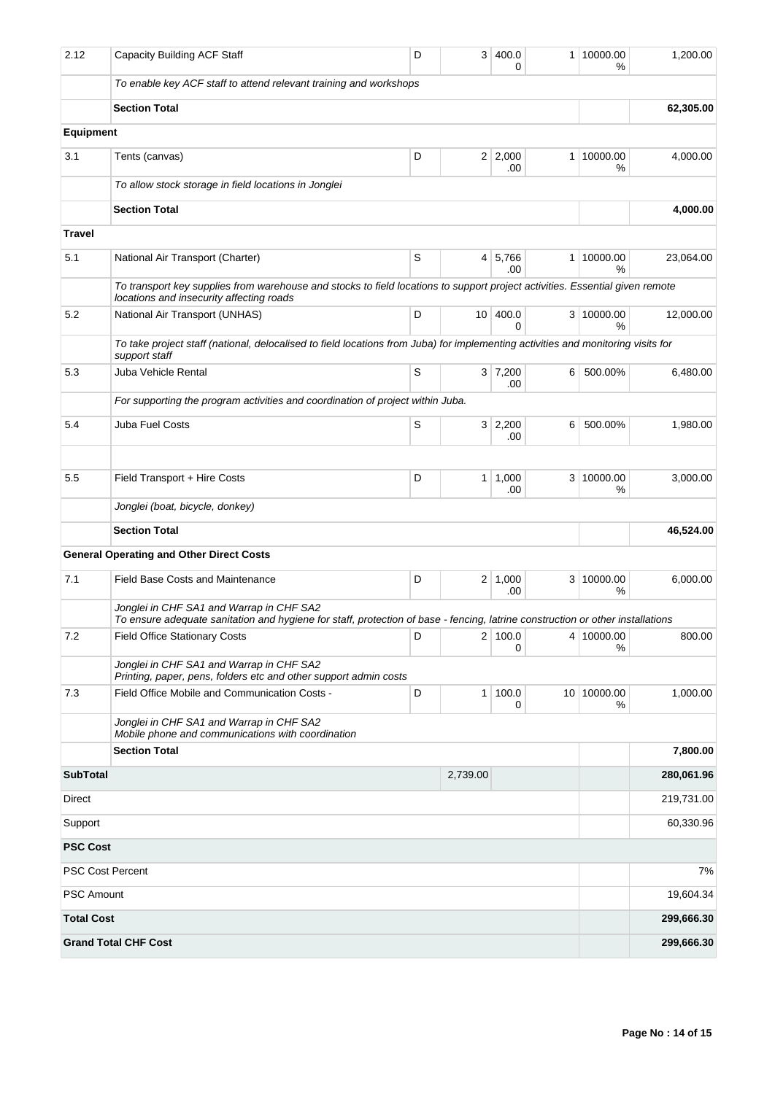| 2.12                    | <b>Capacity Building ACF Staff</b>                                                                                                                                         | D           | 3        | 400.0<br>$\Omega$    | 1 | 10000.00<br>%    | 1,200.00   |
|-------------------------|----------------------------------------------------------------------------------------------------------------------------------------------------------------------------|-------------|----------|----------------------|---|------------------|------------|
|                         | To enable key ACF staff to attend relevant training and workshops                                                                                                          |             |          |                      |   |                  |            |
|                         | <b>Section Total</b>                                                                                                                                                       |             |          |                      |   |                  | 62,305.00  |
| Equipment               |                                                                                                                                                                            |             |          |                      |   |                  |            |
| 3.1                     | Tents (canvas)                                                                                                                                                             | D           |          | 2 2,000<br>.00       | 1 | 10000.00<br>%    | 4,000.00   |
|                         | To allow stock storage in field locations in Jonglei                                                                                                                       |             |          |                      |   |                  |            |
|                         | <b>Section Total</b>                                                                                                                                                       |             |          |                      |   |                  | 4,000.00   |
| Travel                  |                                                                                                                                                                            |             |          |                      |   |                  |            |
| 5.1                     | National Air Transport (Charter)                                                                                                                                           | S           | 4        | 5,766<br>.00         | 1 | 10000.00<br>%    | 23,064.00  |
|                         | To transport key supplies from warehouse and stocks to field locations to support project activities. Essential given remote<br>locations and insecurity affecting roads   |             |          |                      |   |                  |            |
| 5.2                     | National Air Transport (UNHAS)                                                                                                                                             | D           |          | 10 400.0<br>$\Omega$ |   | 3 10000.00<br>%  | 12,000.00  |
|                         | To take project staff (national, delocalised to field locations from Juba) for implementing activities and monitoring visits for<br>support staff                          |             |          |                      |   |                  |            |
| 5.3                     | Juba Vehicle Rental                                                                                                                                                        | S           |          | 3 7,200<br>.00       | 6 | 500.00%          | 6,480.00   |
|                         | For supporting the program activities and coordination of project within Juba.                                                                                             |             |          |                      |   |                  |            |
| 5.4                     | Juba Fuel Costs                                                                                                                                                            | $\mathsf S$ | 3        | 2,200<br>.00         | 6 | 500.00%          | 1,980.00   |
|                         |                                                                                                                                                                            |             |          |                      |   |                  |            |
| 5.5                     | Field Transport + Hire Costs                                                                                                                                               | D           | 1        | 1,000<br>.00         |   | 3 10000.00<br>%  | 3,000.00   |
|                         | Jonglei (boat, bicycle, donkey)                                                                                                                                            |             |          |                      |   |                  |            |
|                         | <b>Section Total</b>                                                                                                                                                       |             |          |                      |   |                  | 46,524.00  |
|                         | <b>General Operating and Other Direct Costs</b>                                                                                                                            |             |          |                      |   |                  |            |
| 7.1                     | <b>Field Base Costs and Maintenance</b>                                                                                                                                    | D           |          | 2 1,000<br>.00       |   | 3 10000.00<br>%  | 6,000.00   |
|                         | Jonglei in CHF SA1 and Warrap in CHF SA2<br>To ensure adequate sanitation and hygiene for staff, protection of base - fencing, latrine construction or other installations |             |          |                      |   |                  |            |
| 7.2                     | <b>Field Office Stationary Costs</b>                                                                                                                                       | D           | 2        | 100.0<br>$\Omega$    |   | 4 10000.00<br>℅  | 800.00     |
|                         | Jonglei in CHF SA1 and Warrap in CHF SA2<br>Printing, paper, pens, folders etc and other support admin costs                                                               |             |          |                      |   |                  |            |
| 7.3                     | Field Office Mobile and Communication Costs -                                                                                                                              | D           | 1        | 100.0<br>0           |   | 10 10000.00<br>% | 1,000.00   |
|                         | Jonglei in CHF SA1 and Warrap in CHF SA2<br>Mobile phone and communications with coordination                                                                              |             |          |                      |   |                  |            |
|                         | <b>Section Total</b>                                                                                                                                                       |             |          |                      |   |                  | 7,800.00   |
| <b>SubTotal</b>         |                                                                                                                                                                            |             | 2,739.00 |                      |   |                  | 280,061.96 |
| Direct                  |                                                                                                                                                                            |             |          |                      |   |                  | 219,731.00 |
| Support                 |                                                                                                                                                                            |             |          |                      |   |                  | 60,330.96  |
| <b>PSC Cost</b>         |                                                                                                                                                                            |             |          |                      |   |                  |            |
| <b>PSC Cost Percent</b> |                                                                                                                                                                            |             |          |                      |   |                  | 7%         |
| <b>PSC Amount</b>       |                                                                                                                                                                            |             |          |                      |   |                  | 19,604.34  |
| <b>Total Cost</b>       |                                                                                                                                                                            |             |          |                      |   |                  | 299,666.30 |
|                         | <b>Grand Total CHF Cost</b>                                                                                                                                                |             |          |                      |   |                  | 299,666.30 |